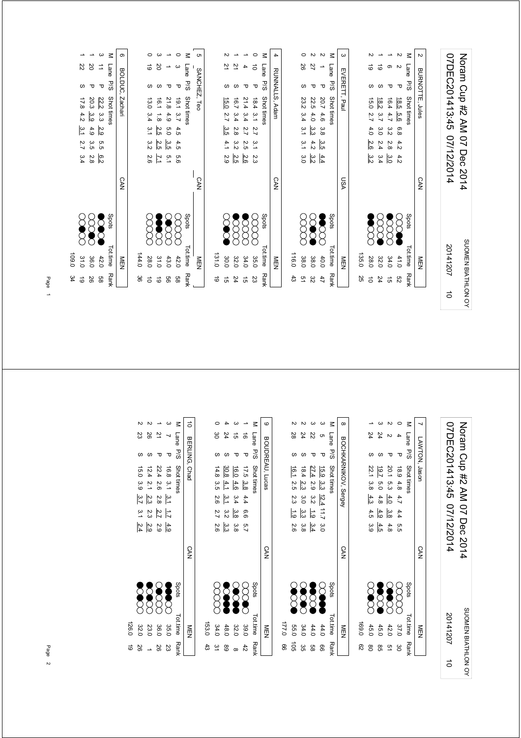| 07DEC201413:45 07/12/2014 | Notam Cup #2 AM 07 Dec 2014 |
|---------------------------|-----------------------------|
| 20141207                  | SUOMEN BIATHLON OY          |
| $\vec{0}$                 |                             |

|      | NEN      |             | ASU        |               |  |                        |                        | EVERETT, Paul | $\omega$ |
|------|----------|-------------|------------|---------------|--|------------------------|------------------------|---------------|----------|
| 25   | 135.0    |             |            |               |  |                        |                        |               |          |
|      | 28.0     | <b>SCCC</b> |            | $\frac{2}{3}$ |  | 15.0 2.7 4.0 2.6       |                        |               |          |
| 24   | 32.0     | 8<br>8      |            |               |  | 18.2 3.7 3.0 2.4 3.4   |                        |               |          |
| ಕ    | 34.0     | <b>SSS</b>  |            |               |  | $16.4$ 4.7 3.2 2.8 3.0 |                        |               |          |
| ςg   | 41.0     | $\infty$    |            |               |  | 18.5 5.6 6.8 4.2 4.2   |                        |               |          |
| Rank | Tot.time | Spots       |            |               |  | Shot times             |                        | Lane P/S      | $\leq$   |
|      | NEN      |             | <b>CAN</b> |               |  |                        | <b>BURNOTTE, Jules</b> |               |          |

|            | Tot.time Rank | <b>Spots</b> |            |                      |                  | M Lane P/S Shot tines |    |        |
|------------|---------------|--------------|------------|----------------------|------------------|-----------------------|----|--------|
|            | 乙二乙           |              | <b>CAN</b> |                      |                  | RUNNALLS, Adam        |    |        |
|            |               |              |            |                      |                  |                       |    |        |
| $\ddot{3}$ | 0.911         |              |            |                      |                  |                       |    |        |
|            | 38.0          | g<br>R       |            | 23.2 3.4 3.1 3.1 3.0 |                  |                       | δŠ |        |
| gδ         | 38.0          | <b>200</b>   |            | ပ<br>ပ               | 22.5 4.0 3.3 4.2 |                       |    |        |
| 47         | 40.0          | <b>SCOCK</b> |            | 20.7 4.6 3.8 3.5 4.4 |                  | τ                     |    |        |
|            | Tot.time Rank | Spots        |            |                      |                  | Lane P/S Shot times   |    | $\leq$ |
|            | 三四            |              | VSN        |                      |                  | EVERETT, Paul         |    |        |

|           | Ņ                  | Ņ            |                     |                      | M Lane P/S Shot tines |  |
|-----------|--------------------|--------------|---------------------|----------------------|-----------------------|--|
|           |                    |              |                     | ᠊ᠣ                   |                       |  |
|           | 15.0 2.7 3.5       | 16.7 3.4 2.8 |                     |                      |                       |  |
|           |                    |              |                     |                      |                       |  |
|           |                    |              | 21.4 3.4 2.7 2.5    | 18.4 3.1 2.7 3.1 2.3 |                       |  |
|           | $4.1$ 2.9          | မ<br>အ       |                     |                      |                       |  |
|           |                    | ن<br>تا      | 2.6                 |                      |                       |  |
| 131.0     | <b>DOC</b><br>30.0 | 32.0         | <b>SSSS</b><br>34.0 | E<br>35.0            | Spots<br>Tottime Ranl |  |
| $\vec{6}$ | ີ ຕ                | 24           | ਰੇ                  | 23                   |                       |  |

|       |                  |                 |              |                      |               | .<br>ຕ       |
|-------|------------------|-----------------|--------------|----------------------|---------------|--------------|
|       | ಠ                | 2Q              |              |                      | Lane          |              |
|       |                  |                 |              | ᠊ᠣ                   | P/S           | SANCHEZ, Teo |
|       | 13.0 3.4 3.1 3.2 | $16.1$ 1.8      | 21.8 4.9 5.0 | 19.1 3.7 4.5 4.5 5.6 | Shot times    |              |
|       |                  |                 |              |                      |               |              |
|       |                  | $\frac{2.5}{2}$ |              |                      |               |              |
|       |                  | 2.5             | .<br>3.5     |                      |               |              |
|       | 2.6              | Ŀ               | 5.1          |                      |               |              |
|       |                  |                 |              |                      |               | <b>CAN</b>   |
|       | g<br>R           | 388             |              | 8<br>8               | Spots         |              |
| 144.0 | 28.0             | 31.0            | 43.0         | 42.0                 | Tot.time Rank | MEN<br>N     |
| မ္တ   |                  | ಕ               | 99           | 9g                   |               |              |

6 BOLDUC, Zachari CAN MEN M Lane P/S Shot times<br>3 11 P 222 3.3 2.9 5.5 6.2<br>1 20 P 20.3 3.9 4.9 3.5 2.8<br>1 22 S 17.8 4.2 3.1 2.7 3.4 P/S Shot times Shots Shots Tot.time Rank BOLDUC, Zachari 3 11 P 22.2.3.3 2.9 5.5 6.2 ● 2.2 2.9 2.9 42.0 5.8 26 2.8 3.5 3.9 36.0 4.9 1 20 P 20.3

1 22 3 17.8 4.2 3.1 2.7 3.4 (X) 3.1 0 19  $\begin{array}{cc}\n\text{SDE} & \text{D.} & \text{D.} & \text{D.} & \text{D.} \\
\text{CDE} & \text{D.} & \text{D.} & \text{D.} & \text{D.} \\
\text{D.} & \text{D.} & \text{D.} & \text{D.} & \text{D.} \\
\text{D.} & \text{D.} & \text{D.} & \text{D.} & \text{D.} \\
\text{D.} & \text{D.} & \text{D.} & \text{D.} & \text{D.} \\
\text{D.} & \text{D.} & \text{D.} & \text{D.} & \text{D.} \\
\text$ 109.0 34

Page 1

| 07DEC201413:45 07/12/2014<br>20141207 | Noram Cup #2 AM 07 Dec 2014<br>SUOMEN BIATHLON OV |
|---------------------------------------|---------------------------------------------------|
| $\vec{0}$                             |                                                   |

|                                | 24<br>19.7 | 20.1 5.3                      | ᠊ᠣ                   | z<br>Lane<br>-<br>Sd<br>Shot times | LAWTON, Jason |
|--------------------------------|------------|-------------------------------|----------------------|------------------------------------|---------------|
| $\overline{5.0}$<br>4.9<br>4.5 | 4.8        | 4.0<br>$\frac{3.8}{8}$<br>4.8 | 18.9 4.8 4.7 4.4 5.5 |                                    |               |
|                                |            |                               |                      |                                    | <b>CAN</b>    |
| <b>SCOOL</b>                   |            | <b>OOO</b>                    | ECC                  | Spots                              |               |
| 45.0                           |            | 42.0                          | 37.0                 | Tot.time Rank                      | M⊡<br>D       |
| ၛၟ                             |            | ā,                            | မ္မ                  |                                    |               |

|       |               | 24            | Z2            | CΠ                     | M Lane P/S Shottines |                      |
|-------|---------------|---------------|---------------|------------------------|----------------------|----------------------|
|       |               |               |               |                        |                      |                      |
|       | 16.1 2.5 2.3  | 18.42.3       | 27.4 2.9      | 15.9 3.3 12.4 11.7 3.0 |                      | BOCHKARNIKOV, Sergey |
|       |               |               |               |                        |                      |                      |
|       |               | 3.0           | $3.2$ 1.9     |                        |                      |                      |
|       | $\frac{1}{6}$ | .<br>2.3<br>3 |               |                        |                      |                      |
|       | 2.6           | 3.8           | 3.4           |                        |                      |                      |
|       |               |               |               |                        |                      |                      |
|       |               |               |               |                        |                      | <b>CAN</b>           |
|       |               |               |               |                        |                      |                      |
|       |               |               |               |                        | Spots                |                      |
|       |               | 88<br>88      | <b>Second</b> | E                      |                      |                      |
|       |               |               |               |                        |                      |                      |
| 0:221 | 55.0          | 34.0          | 44.0          | 44.0                   |                      | ミロス                  |
| 8     | ă             | ပ္တ           | 88            | 99                     | Tot.time Rank        |                      |

| ;                     |       |                      |                         |            |             | $\leq$        | $\circ$         |
|-----------------------|-------|----------------------|-------------------------|------------|-------------|---------------|-----------------|
|                       |       | မ္မ                  | 24                      | ີ ຕ        | d)          | Lane          |                 |
| )<br>)<br>)<br>)<br>) |       |                      |                         |            |             | $=$ $ -$      | BOUDREAU, Lucas |
|                       |       |                      | 30.8                    | 16.0       | 17.5 3.8    | Shot times    |                 |
|                       |       |                      |                         | $-4.6$     |             |               |                 |
|                       |       | 14.8 3.5 2.6 2.7 2.6 | $4.1$ $3.1$ $3.2$ $3.3$ | 3.4        |             |               |                 |
|                       |       |                      |                         | $3.8\ 3.8$ | 4.4 6.6 5.7 |               |                 |
|                       |       |                      |                         |            |             |               |                 |
| $\frac{1}{2}$         |       |                      |                         |            |             |               | <b>CAN</b>      |
|                       |       | g<br>R               | <b>Separate</b>         | <b>SOO</b> | <b>SCOO</b> | Spots         |                 |
| $\vdots$              | 153.0 | 34.0                 | 48.0                    | 32.0       | 39.0        | Tot.time Rank | NEN             |
|                       | 43    | $\approx$            | 89                      | $\infty$   | 42          |               |                 |

|       |         |                                         |               |                   | $\leq$                 | $\vec{0}$     |
|-------|---------|-----------------------------------------|---------------|-------------------|------------------------|---------------|
|       | 23      | 88                                      | 2             |                   | Lane                   |               |
|       |         | ળ                                       | Δ             | τ                 | $-$ S/d $\overline{ }$ |               |
|       | 15.0    | 12.42.1                                 | 22.4 2.6 2.8  | 16.8 3.1 3.1      | Shot times             | BERLING, Chad |
|       | ة<br>39 |                                         |               |                   |                        |               |
|       |         | $\frac{2.3}{3.7}$ 3.1 $\frac{2.9}{2.4}$ |               |                   |                        |               |
|       |         | 2.3                                     | $\frac{1}{2}$ |                   |                        |               |
|       |         |                                         |               | $\frac{4.9}{2.9}$ |                        |               |
|       |         |                                         |               |                   |                        | <b>CAN</b>    |
|       |         | 3388<br>8888                            |               |                   | <b>Spots</b>           |               |
| 126.0 | 32.0    | 23.0                                    | 36.0          | 35.0              | Tot.time               | ≧四            |
| ಠ     | 92      |                                         | 92            | 23                | <b>Rank</b>            |               |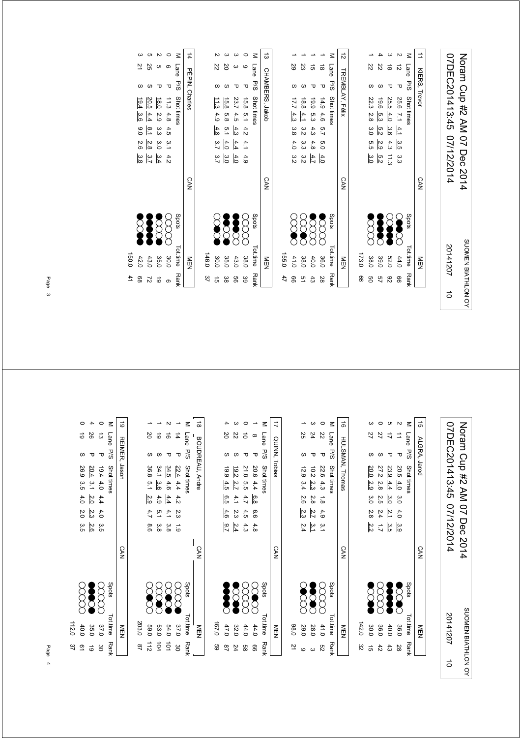| 07DEC201413:45 07/12/2014 | Notam Cup #2 AM 07 Dec 2014 |
|---------------------------|-----------------------------|
| 20141207                  | SUOMEN BIATHLON OY          |
| ਠੇ                        |                             |

SUOMEN BIATHLON OY

SUOMEN BIATHLON OY

Noram Cup #2 AM 07 Dec 2014

Noram Cup #2 AM 07 Dec 2014

|      | Tot.time Rank | Spots         |            |                        |            |              | M Lane P/S Shot times |   |
|------|---------------|---------------|------------|------------------------|------------|--------------|-----------------------|---|
|      | NEN           |               | <b>CAN</b> |                        |            |              | TREMBLAY, Félix       | ನ |
| 99   | 173.0         |               |            |                        |            |              |                       |   |
| g    | 38.0          |               |            | ე<br>თ<br>.<br>8.0     | 30         | 22.3 2.8     | Z2                    |   |
| 49   | 39.0          | Š             |            | $\frac{2.9}{2}$<br>5.2 | ပ္ပ<br>5.2 | 9.61         | 22                    |   |
| 82   | <b>52.0</b>   | Š             |            | 4.3<br>$\frac{1}{3}$   | 3.6        | 25.5 4.0     | ಹ                     |   |
| 99   | 44.0          | <b>Second</b> |            | 3.5<br>ِ<br>یہ<br>ن    |            | 25.6 7.1 4.1 | ನ<br>τ                |   |
| Rank | Tot.time      | Spots         |            |                        |            | Shot times   | Lane P/S              |   |
|      | NEN<br>D      |               | <b>CAN</b> |                        |            |              | KIERS, Trevor         | ≐ |
|      |               |               |            |                        |            |              |                       |   |

| $\sim$     |                                     |                                                            |              | $\leq$      | ದ               |       |                |                 |                       |                |
|------------|-------------------------------------|------------------------------------------------------------|--------------|-------------|-----------------|-------|----------------|-----------------|-----------------------|----------------|
| Z2         | SO                                  | ω                                                          | ဖ            | Lane P/S    |                 |       | 59             | ಜ               | ಕ                     | ಹ              |
| S          |                                     |                                                            |              |             |                 |       |                |                 |                       |                |
|            |                                     | 23.7 4.5 $\frac{4.3}{5.8}$<br>15.8 5.8 5.1<br>11.3 4.9 4.8 | 15.8 5.1 4.2 | Shot times  | CHAMBERS, Jakob |       | $17.7 \pm 3.3$ | 18.8            | 6.9                   | 14.94.6        |
|            |                                     |                                                            |              |             |                 |       |                | $\frac{4.1}{4}$ | 5.3                   |                |
|            |                                     |                                                            |              |             |                 |       | 3.8            | 3.2             | 4.3                   | 5.7            |
|            | $rac{4}{4}$ $rac{4}{9}$ $rac{3}{5}$ |                                                            | 4.1          |             |                 |       | 4.0            | 3.3             | 4.8                   | 6.0            |
|            |                                     | $\frac{4}{9}$ $\frac{3}{9}$ $\frac{3}{7}$                  | 4.9          |             |                 |       | 3.2            | őά              | 4.7                   | $\frac{4}{10}$ |
|            |                                     |                                                            |              |             | <b>CAN</b>      |       |                |                 |                       |                |
| <b>SCC</b> | <b>SCOOL</b>                        | <b>SOOC</b>                                                |              | Spots       |                 |       | <b>SCAR</b>    | <b>SCR</b>      | $\sum_{i=1}^{\infty}$ | E              |
| 30.0       | 35.0                                | 43.0                                                       | 38.0         | Tot.time    | NEN             | 155.0 | 41.0           | 38.0            | 40.0                  | 36.0           |
| ن<br>م     | ပ္စ                                 | 9g                                                         | 39           | <b>Rank</b> |                 | 47    | ၜ              | 51              | ಕೆ                    | 28             |

|           | 14 PEPIN, Charles |          |            |           |                      |                 |                   | <b>CAN</b> |                             | ≧□       |    |
|-----------|-------------------|----------|------------|-----------|----------------------|-----------------|-------------------|------------|-----------------------------|----------|----|
| $\leq$    | Lane P/S          |          | Shot times |           |                      |                 |                   |            | Spots                       | Tot.time | Rά |
|           |                   | Δ        |            |           | 11.3 4.8 4.5 3.1 4.2 |                 |                   |            | xxxx                        | 30.0     | മ  |
|           |                   | τ        | 18.0       | 2.9 3.3   |                      | 3.0             |                   |            | SCOO                        | 35.0     | ౚ  |
| <b>ပာ</b> | ΩŚ                |          | 20.5       | 4.4       | $\frac{8}{1}$        | $\frac{28}{26}$ | $\frac{3.4}{3.7}$ |            | <b><b>espera</b><br/>22</b> | 43.0     | 52 |
|           | 32                | $\omega$ | 19.4       | $3.6$ 9.0 |                      |                 | ယ်<br>ထိ          |            |                             | 42.0     | 88 |

| CΠ                   |              |                      | $\leq$              | $\frac{14}{1}$ |         |                                                                                                                                                                                                                                                                                                                                                                                                                                                                                                                                                                                           |
|----------------------|--------------|----------------------|---------------------|----------------|---------|-------------------------------------------------------------------------------------------------------------------------------------------------------------------------------------------------------------------------------------------------------------------------------------------------------------------------------------------------------------------------------------------------------------------------------------------------------------------------------------------------------------------------------------------------------------------------------------------|
| 25                   |              |                      | Lane P/S Shot times |                |         | ļ                                                                                                                                                                                                                                                                                                                                                                                                                                                                                                                                                                                         |
| S                    |              | ᠊ᠣ                   |                     |                |         |                                                                                                                                                                                                                                                                                                                                                                                                                                                                                                                                                                                           |
|                      |              |                      |                     | PÉPIN, Charles |         | $\begin{array}{c} \begin{array}{c} \begin{array}{c} \begin{array}{c} \end{array}\\ \end{array}\\ \begin{array}{c} \end{array}\\ \begin{array}{c} \end{array}\\ \begin{array}{c} \end{array}\\ \begin{array}{c} \end{array}\\ \begin{array}{c} \end{array}\\ \begin{array}{c} \end{array}\\ \begin{array}{c} \end{array}\\ \begin{array}{c} \end{array}\\ \begin{array}{c} \end{array}\\ \begin{array}{c} \end{array}\\ \begin{array}{c} \end{array}\\ \begin{array}{c} \end{array}\\ \begin{array}{c} \end{array}\\ \begin{array}{c} \end{array}\\ \begin{array}{c} \end{array}\\ \begin$ |
|                      |              |                      |                     |                |         |                                                                                                                                                                                                                                                                                                                                                                                                                                                                                                                                                                                           |
| 20.5 4.4 8.1 2.8 3.7 | 18.0 2.9 3.3 | 11.3 4.8 4.5 3.1 4.2 |                     |                |         |                                                                                                                                                                                                                                                                                                                                                                                                                                                                                                                                                                                           |
|                      | $3.0 \t3.4$  |                      |                     |                |         |                                                                                                                                                                                                                                                                                                                                                                                                                                                                                                                                                                                           |
|                      |              |                      |                     |                |         |                                                                                                                                                                                                                                                                                                                                                                                                                                                                                                                                                                                           |
|                      |              |                      |                     | CAN            |         |                                                                                                                                                                                                                                                                                                                                                                                                                                                                                                                                                                                           |
|                      | <b>2000</b>  | E                    | <b>Spots</b>        |                |         | $\begin{array}{c} \diagup \\ \diagdown \\ \diagdown \end{array}$                                                                                                                                                                                                                                                                                                                                                                                                                                                                                                                          |
| 43.0                 | 35.0         | 30.0                 | Tot.time Rank       | MEN<br>N       | 146.0   | $\ddot{\phantom{a}}$                                                                                                                                                                                                                                                                                                                                                                                                                                                                                                                                                                      |
| 21                   | 6            |                      |                     |                | ا<br>22 |                                                                                                                                                                                                                                                                                                                                                                                                                                                                                                                                                                                           |

|     |     | <b>FLIN, VIRIES</b>                                      |         |                 |                                                | יהוא |       | <b>NILLY</b>  |           |
|-----|-----|----------------------------------------------------------|---------|-----------------|------------------------------------------------|------|-------|---------------|-----------|
| ane | P/S | Shot times                                               |         |                 |                                                |      | Spots | Tot.time Rank |           |
|     |     | 11.3 4.8 4.5 3.1 4.2                                     |         |                 |                                                |      |       | 30.0          | $\circ$   |
|     |     |                                                          | 2.9 3.3 |                 |                                                |      |       | 35.0          | $\vec{6}$ |
|     |     | $\frac{18.0}{20.5}$ $\frac{20.5}{4.4}$ $\frac{4.4}{3.6}$ |         | $rac{8.1}{5.0}$ | 3.0 $\frac{3.4}{2.8}$<br>2.8 $\frac{3.7}{3.8}$ |      | 88    | 43.0          | 27        |
|     |     |                                                          |         |                 |                                                |      | Š     | 42.0          | 88        |
|     |     |                                                          |         |                 |                                                |      |       | 150.0         | 41        |
|     |     |                                                          |         |                 |                                                |      |       |               |           |

Page 3

|                                       |                         | 07DEC201413:45<br>07/12/2014                         |            |       | 20141207      |
|---------------------------------------|-------------------------|------------------------------------------------------|------------|-------|---------------|
| $\vec{a}$                             | ALGRA, Jarod            |                                                      | <b>SAN</b> |       | NEN           |
| $\leq$<br>Lane                        | P/S                     | Shot times                                           |            | Spots | Tot.time      |
| ⇉                                     | $\mathbf \sigma$        | 20.5<br>4.0<br>őΩ<br>4.0<br>မ္မ                      |            |       | 36.0          |
| ທ <sub>N</sub><br>ゴ                   | $\mathbf \tau$          | 23.9<br>4.4<br>$\frac{3}{2}$<br>$\frac{2}{3}$<br>3.5 |            |       | 40.0          |
| $\circ$<br>27                         | ဖ                       | 27.2<br>2.8<br>2.5<br>2.4<br>$\overrightarrow{L}$    |            |       | 36.0          |
| က<br>27                               | $\omega$                | 20.0<br>2.9<br>őΩ<br>2.8<br>2.2                      |            |       | 30.0          |
|                                       |                         |                                                      |            |       | 142.0         |
| ಹೆ                                    |                         | HULSMAN, Thomas                                      | <b>CAN</b> |       | NEN           |
| $\leq$<br>Lane                        | P/S                     | Shot times                                           |            | Spots | Tot.time      |
| $\circ$<br>22                         | $\mathbf \sigma$        | 22.6<br>4.3<br>$\vec{8}$<br>4.9<br>$\tilde{c}$       |            |       | 41.0          |
| ယ<br>24                               | τ                       | 10.2<br>23<br>2.8<br>2.7<br>ع∼                       |            |       | 28.0          |
| ∸<br>25                               | $\omega$                | 12.9<br>3.4<br>2.6<br>2.3<br>2.4                     |            |       | 29.0          |
|                                       |                         |                                                      |            |       | 0.89          |
| ⇉                                     | QUINN, Tobias           |                                                      | <b>CAN</b> |       | NEN           |
| $\leq$<br>Lane                        | P/S                     | Shot times                                           |            | Spots | Tot.time      |
| $\overline{\phantom{a}}$<br>$\infty$  | $\overline{\mathbf{u}}$ | 20.6<br>4.4<br>$\frac{6}{8}$<br>9.9<br>4.8           |            |       | 44.0          |
| $\circ$<br>$\vec{o}$                  | τ                       | 21.8<br>5.5<br>4.7<br>4.5<br>4.3                     |            |       | 44.0          |
| $\omega$<br>22                        | ဖ                       | 19.2<br>2.7<br>4.1<br>2.3<br>$\frac{2.4}{4}$         |            |       | 32.0          |
| 4<br>20                               | S                       | 661<br>4.5<br>e.5<br>4.6<br>9.7                      |            |       | 0.701<br>47.0 |
| ಹ                                     |                         | BOUDREAU, Andre                                      | <b>CAN</b> |       | NEN           |
| $\leq$<br>Lane                        | P/S                     | Shot times                                           |            | Spots | Tot.time      |
| $\overline{\phantom{a}}$<br>$\vec{4}$ | $\mathbf \tau$          | 22.4<br>4.4<br>4.2<br>2.3<br>$\vec{6}$               |            |       | 37.0          |
| $\mathbf{v}$<br>ಹ                     | τ                       | 34.5<br>4.6<br>4.4<br>4.1<br>ဖွဲ                     |            |       | 54.0          |
| ∸<br>$\vec{\circ}$                    | ဖ                       | 34.1<br>3.6<br>4.9<br>$\frac{1}{2}$<br>3.8           |            |       | 53.0          |
| 20                                    | S                       | 36.8<br>5.1<br>2.9<br>9.8                            |            |       | 203.0<br>069  |
| ಹ                                     | <b>REIMER,</b>          | Jason                                                | <b>CAN</b> |       | MEN           |
| $\leq$<br>Lane                        | P/S                     | Shot times                                           |            | Spots | Tot.time      |
| $\circ$<br>ದ                          | $\mathbf \sigma$        | 10.4<br>4.0<br>4.4<br>4.0<br>ပ္ပ                     |            | ٢     | 37.0          |
| 4<br>26                               | ᠊ᠣ                      | 20.4<br>$\frac{3}{7}$<br>2.0<br>2.3<br>2.6           |            |       | 35.0          |
| $\circ$<br>$\vec{\circ}$              | ဖ                       | 26.9<br>3.5<br>4.0<br>2.0<br>αs                      |            |       | 40.0          |
|                                       |                         |                                                      |            |       | 112.0         |

Page 4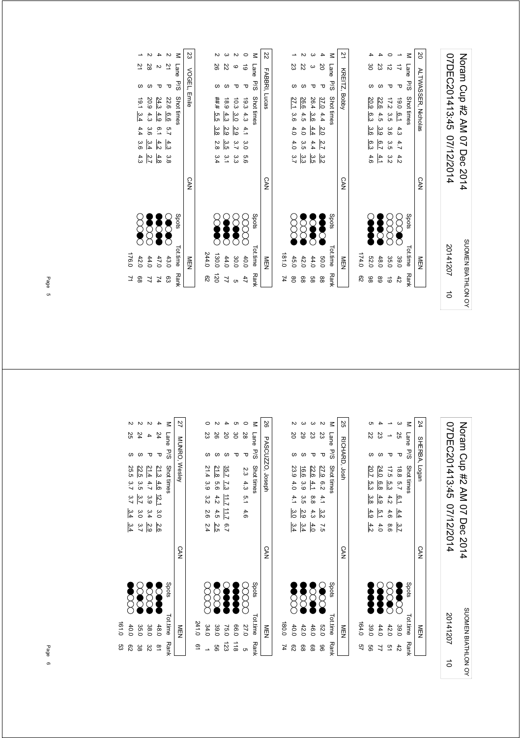|             | NEN      |             | <b>CAN</b> |               |         |     |              |      |                            | 21 KREITZ, Bobby |        |
|-------------|----------|-------------|------------|---------------|---------|-----|--------------|------|----------------------------|------------------|--------|
| 82          | 174.0    |             |            |               |         |     |              |      |                            |                  |        |
| 86          | 52.0     | Š           |            | 4.6           | ၉၁      | 3.6 | 20.9 6.3     |      |                            | မွ               |        |
| 68          | 48.0     | <b>SOOK</b> |            | $\frac{4}{1}$ | 6.7     | မ္မ | 4.5          | 22.6 |                            | 23               |        |
| ಠ           | 35.0     | good        |            | ς<br>Σ        | ပ<br>၁၁ |     | 17.2 3.5 3.6 |      |                            | ಸ                |        |
| 42          | 39.0     | $\infty$    |            | 4.2           | 4.7     | 4.3 | 19.0 6.1     |      |                            |                  |        |
| <b>Rank</b> | Tot.time | Spots       |            |               |         |     | Shot times   |      | 5/5                        | Lane             | $\leq$ |
|             | MEN      |             | <b>CAN</b> |               |         |     |              |      | <b>ALTWASSER, Nicholas</b> |                  | S      |
|             |          |             |            |               |         |     |              |      |                            |                  |        |

| <b>CAN</b>                                           |
|------------------------------------------------------|
|                                                      |
| 4.0<br>4.0 3.7<br>$\breve{\rm g}$                    |
| 4.0<br>4.3.5<br>ں<br>نہ ات ات<br>نہ ات<br><b>SSS</b> |
| 4.4<br>4.4<br>$\sum_{i=1}^{n}$                       |
| 2.0<br>2.7<br>$\delta$                               |
| Spots                                                |
| <b>CAN</b>                                           |

|                      |                                                              |            | N                | ζ          | 23           |       |    |                                           | N                                                |            | $\leq$          | r,            |
|----------------------|--------------------------------------------------------------|------------|------------------|------------|--------------|-------|----|-------------------------------------------|--------------------------------------------------|------------|-----------------|---------------|
| 21                   | 28                                                           | N          | 으                | Lane       |              |       | 26 | 22                                        | ဖ                                                | ಠ          | Lane            |               |
|                      |                                                              | ᠊ᠣ         | $\mathbf \sigma$ | <b>P/S</b> | VOGEL, Emile |       |    |                                           | ᠊ᠣ                                               | τ          | 5/9             | FADDRI, LUCas |
|                      | 22.6 6.6 5.7<br>24.3 4.9 6.1<br>20.9 4.3 3.6<br>19.1 3.4 4.4 |            |                  | Shot times |              |       |    |                                           | 10.3 $\frac{3.0}{4.3}$<br>18.9 $\frac{4.3}{4.5}$ | 19.34.3    | Shot times      |               |
|                      |                                                              |            |                  |            |              |       |    |                                           |                                                  |            |                 |               |
|                      |                                                              |            |                  |            |              |       |    | $\frac{2}{3}$ $\frac{2}{3}$ $\frac{3}{3}$ |                                                  | $\ddot{4}$ |                 |               |
|                      | $\frac{4}{3!} \frac{4}{3!} \frac{u}{4} \frac{u}{6}$          |            |                  |            |              |       |    |                                           | 3<br>3 5 9 3<br>9 5 9 3                          |            |                 |               |
|                      | $\frac{3}{8}$ a $\frac{4}{5}$ $\frac{4}{5}$ $\frac{4}{3}$    |            |                  |            |              |       |    | ω ω ω<br>ω — <del>ω</del>                 |                                                  | 9.6        |                 |               |
|                      |                                                              |            |                  |            | <b>CAN</b>   |       |    |                                           |                                                  |            |                 | r<br>MN       |
|                      | <b>December</b>                                              | <b>See</b> | Č                | Spots      |              |       | Š  | $\bullet$                                 | Ĭ                                                |            | Spots           |               |
|                      |                                                              |            |                  |            |              |       |    |                                           |                                                  |            |                 |               |
| 176.0<br>42.0        | $43.0$<br>$47.0$<br>$44.0$                                   |            |                  | Tot.time   | NEN          | 244.0 |    |                                           | $400$<br>$4300$<br>$4300$<br>$4300$              |            | <b>Tot.time</b> | NIEIN         |
| $\overline{7}$<br>88 | $\begin{array}{c} 2 \\ 7 \\ 7 \\ 8 \end{array}$              |            |                  | Ran        |              | దై    |    |                                           | $22$<br>$25$<br>$25$                             |            | <b>Rank</b>     |               |
|                      |                                                              |            |                  |            |              |       |    |                                           |                                                  |            |                 |               |

| $\overline{2}$ | 28            |                                       | $\overline{2}$ | M Lane      | 23 VOGEL, Emile |
|----------------|---------------|---------------------------------------|----------------|-------------|-----------------|
|                |               | τ                                     | τ              | s<br>Sd     |                 |
| 19.1 3.4       |               | $\frac{24.3}{20.9}$ 4.3               | 22.6 6.6       | Shot times  |                 |
|                |               | $\frac{4.9}{4.9}$                     |                |             |                 |
| 4.4 3.6 4.3    |               | $6.1 \frac{4.2}{3.6 \frac{3.4}{3.4}}$ | 5.74.3         |             |                 |
|                |               |                                       |                |             |                 |
|                | $rac{4}{2}$ 3 |                                       | မ္မ            |             |                 |
|                |               |                                       |                |             | <b>CAN</b>      |
|                | 8888<br>8888  |                                       |                | Spots       |                 |
| 42.0           | 44.0          | 47.0                                  | 43.0           | Totime Rank | ≧田              |
| 89             | 77            | 74                                    | င္ယာ           |             |                 |

Noram Cup #2 AM 07 Dec 2014<br>07DEC201413:45 07/12/2014 07DEC201413:45 07/12/2014 Noram Cup #2 AM 07 Dec 2014 SUOMEN BIATHLON OY 20141207 SUOMEN BIATHLON OY 20141207

 $\vec{a}$ 

|       |             |             |          |                | ⋜             | 24            |  |
|-------|-------------|-------------|----------|----------------|---------------|---------------|--|
|       | Z2          | 23          |          | 25             | Lane          |               |  |
|       |             |             |          | Δ              | -<br>Sa       |               |  |
|       | 20.7<br>ပ္ပ | 24.0<br>6.8 | 17.5 5.3 | 18.8 5.7       | Shot times    | SHERBA, Logan |  |
|       | ဖွဲ့        | 4.9         | 4.2      | $\overline{5}$ |               |               |  |
|       | 4.9         | 5.1         | 4.6      | 4.4            |               |               |  |
|       | 4.2         | 4.0         | 8.6      | $\frac{3}{2}$  |               |               |  |
|       |             |             |          |                |               | <b>CAN</b>    |  |
|       |             |             |          | Ş              | <b>Spots</b>  |               |  |
| 164.0 | 39.0        | 44.0        | 42.0     | 39.0           | Tot.time Rank | NEN           |  |
| 92    | ဌ           |             | ă        | 42             |               |               |  |

|       |                       |                |                  |                  |             | 25            |
|-------|-----------------------|----------------|------------------|------------------|-------------|---------------|
|       | Β                     | 29             | ΣS               | 23               | Lane<br>P/S |               |
|       |                       |                |                  | ᠊ᠣ               |             |               |
|       | 23.9<br>4.0           | 16.6<br>ς<br>Θ | 22.6<br>$-1$     | 27.9 6.2 4.1     | Shot times  | RICHARD, Josh |
|       |                       |                |                  |                  |             |               |
|       | 4.1                   | 3.5            | $\frac{8}{8}$    |                  |             |               |
|       | မိုင                  | 2.9            | 4.3              | ی<br>3           |             |               |
|       | 3.4                   | 3.4            | 4.0              | $\tilde{c}$      |             |               |
|       |                       |                |                  |                  |             | CAN           |
|       | $\sum_{i=1}^{\infty}$ | <b>S</b>       | $\sum_{i=1}^{n}$ | $\sum_{i=1}^{n}$ | Spots       |               |
| 180.0 | 40.0                  | 42.0           | 46.0             | <b>52.C</b>      | Tot.time    |               |
|       | ని                    | ಙ              | စ္စ              | 96               | Rank        |               |

|       |             |                                                       |                  |               |                 | $\leq$            | 92               |
|-------|-------------|-------------------------------------------------------|------------------|---------------|-----------------|-------------------|------------------|
|       | 23          | 92                                                    | 20               | ဗ္ဓ           | 28              | Lane              | PASCUZZO, Joseph |
|       |             |                                                       |                  |               | τ               |                   |                  |
|       |             | 21.8                                                  | 35.7             |               |                 | P/S Shot times    |                  |
|       | 21.4 3.9    | 9.6                                                   | $\overline{23}$  |               |                 |                   |                  |
|       | 3.2 2.6 2.4 | 4.2                                                   | <b>11.7 11.7</b> |               | 2.3 4.3 5.1 4.6 |                   |                  |
|       |             | 4.5                                                   |                  |               |                 |                   |                  |
|       |             | 2.5                                                   | 6.7              |               |                 |                   |                  |
|       |             |                                                       |                  |               |                 |                   | <b>CAN</b>       |
|       |             | $\breve{\begin{matrix} \infty \ \infty \end{matrix}}$ | Î                | Š             | g<br>8          | spot <sub>s</sub> |                  |
| 241.0 | 34.0        | 39.0                                                  | 75.0             | 0.66          | 27.0            | Tot.time Rank     | ≧四               |
| 21    |             | 99                                                    | 123              | $\frac{1}{8}$ | CΠ              |                   |                  |

|       |                | N            |                                         |               | $\leq$        | 27            |
|-------|----------------|--------------|-----------------------------------------|---------------|---------------|---------------|
|       | 25             | 24           |                                         | 24            | Lane          |               |
|       | S              |              |                                         | τ             | <b>P/S</b>    |               |
|       | 25.5           |              | $\frac{21}{3} \frac{21}{4} \frac{4}{6}$ |               | Shot times    | MUNRO, Wesley |
|       | بر<br>د        | 3.5          | 4.7                                     | 4.6           |               |               |
|       |                | $3.7 \t3.0$  | 3.9                                     | 12.1          |               |               |
|       | $3.7$ $3.4$    |              | 3.4                                     | 3.0           |               |               |
|       | $\frac{34}{4}$ | 3.7          | $\frac{2.6}{2.9}$                       |               |               |               |
|       |                |              |                                         |               |               | <b>CAN</b>    |
|       |                | 8888<br>8888 |                                         |               | Spots         |               |
| 161.0 | 40.0           | 35.0         | 38.0                                    | 48.0          | Tot.time Rank | M<br>⊡        |
| ςg    | 82             | အ            | 82                                      | $\frac{8}{2}$ |               |               |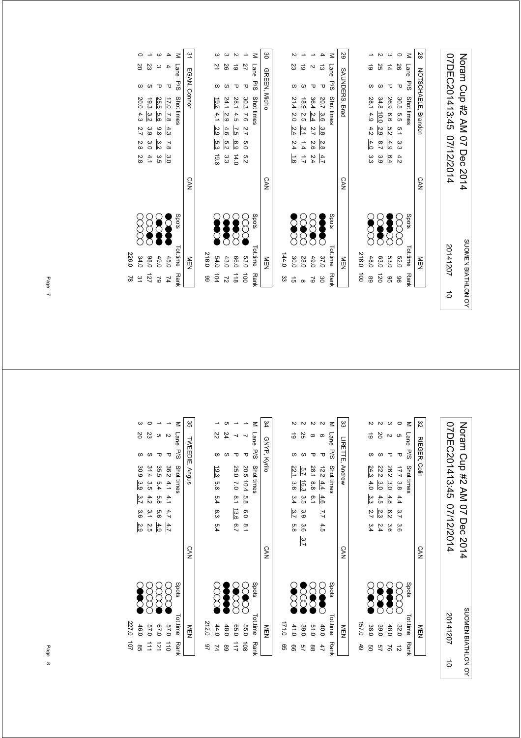| SUOMEN BIATHLON OY<br>$\vec{0}$ |
|---------------------------------|
|---------------------------------|

|     | shris<br>Trime Bank    |            |                               | M I and Disc Strittings |          |        |
|-----|------------------------|------------|-------------------------------|-------------------------|----------|--------|
|     | NEN                    | <b>CAN</b> |                               | SAUNDERS, Brad          |          | 59     |
|     |                        |            |                               |                         |          |        |
|     | 216.0 100              |            |                               |                         |          |        |
| 89  | <b>SSSS</b><br>48.0    |            | $4.0$ 3.3                     | 28.1 4.9 4.2            | ಕ        |        |
| 120 | <b>SOCT</b><br>63.0    |            | $\frac{2.9}{2}$<br>6.7<br>3.9 | 34.8 10.0               | 25       |        |
| GG  | <b>Second</b><br>53.0  |            | 4.9<br>6.4                    | 26.9 6.6 5.2            | 4        |        |
| 96  | 8<br>8<br><b>52.0</b>  |            | 30.5 5.5 5.1 3.3 4.2          |                         | 92<br>᠊ᠣ |        |
|     | Spots<br>Tot.time Rank |            |                               | Lane P/S Shot times     |          | $\leq$ |
|     | NEN                    | <b>CAN</b> |                               | NOTSCHAELE, Branden     |          | 28     |
|     |                        |            |                               |                         |          |        |

|                        |                       | မ္မ           |       |                      |                      |                  |                  | $\leq$              | 6Z                    |
|------------------------|-----------------------|---------------|-------|----------------------|----------------------|------------------|------------------|---------------------|-----------------------|
| 121                    | M Lane P/S Shot times |               |       | 23                   | ಠ                    |                  | ದ                | Lane P/S Shot times |                       |
|                        |                       |               |       |                      |                      |                  | τ                |                     |                       |
| P 30.3 7.6 2.7 5.0 5.2 |                       | GREEN, Michio |       |                      |                      |                  |                  |                     | <b>SAUNDERS, Brad</b> |
|                        |                       |               |       |                      |                      |                  |                  |                     |                       |
|                        |                       |               |       | 21.4 2.0 2.4 2.4 1.6 | 18.9 2.5 2.1 1.4 1.7 | 36.4 2.4 2.7 2.6 | 20.7 3.6 3.8 2.8 |                     |                       |
|                        |                       |               |       |                      |                      |                  |                  |                     |                       |
|                        |                       |               |       |                      |                      | 2.4              | 4.7              |                     |                       |
|                        |                       | <b>CAN</b>    |       |                      |                      |                  |                  |                     | <b>CAN</b>            |
|                        | Spots                 |               |       | <b>SCOCC</b>         | 8<br>8               | 888<br>2000      | Š                | Spots               |                       |
| 53.0 100               | Tot.time Rank         | NEN           | 144.0 | 30.0                 | 28.0                 | 49.0             | 37.0             | Tot.time Rank       | NFM                   |
|                        |                       |               | ပ္ပ   | ີ ຕ                  | $^{\circ}$           | $\approx$        | ဗိ               |                     |                       |

2 19 P 28.1 4.5 7.5 6.9 14.0 () N X X 66.0 118 3 26 S 24.1 2.9 4.6 5.2 3.3 ( $\bigcup_{i=1}^{\infty}$  4.3.0 72 104 19.8 5.3 4.1 54.0 2.9 3 21 S 19.2

 $\omega$   $\omega$   $\omega$  $\frac{5}{2}$  &  $\frac{5}{2}$ 

28.1 4.5 <u>7.5 6.9</u> 14.0<br>24.1 <u>2.9 4.6 5.2</u> 3.3<br>19.2 4.1 <u>2.9</u> 5.3 19.8

8888 S  $\bullet$ 

66.0 118<br>43.0 72<br>54.0 104<br>216.0 99

216.0 99

| $\overline{5}$ |          | EGAN, Connor |                                                            | <b>CAN</b> |               | ≧□          |        |
|----------------|----------|--------------|------------------------------------------------------------|------------|---------------|-------------|--------|
| $\leq$         | Lane P/S |              | Shot times                                                 |            | Spots         | Totime Rank |        |
|                |          | τ            | 17.0<br>$7.8$ 4.3 7.8 3.0                                  |            | <b>Separa</b> | 45.0        | 74     |
|                |          |              | 25.5<br>$\frac{5}{6}$<br>8.8<br>$\frac{32}{2}$<br>ပ္ပ<br>၁ |            |               | 49.0        | $\sim$ |
|                | 23       |              | 19.3 3.2<br>3.9 3.0<br>4.1                                 |            | 88            | 98.0        | 121    |
|                | ΣQ       | S            | 20.0 4.3<br>2.7 2.8 2.8                                    |            | xxx           | 34.0        | يە     |

226.0 78

226.0 78

07DEC201413:45 07/12/2014 Noram Cup #2 AM 07 Dec 2014 07DEC201413:45 07/12/2014 Noram Cup #2 AM 07 Dec 2014 SUOMEN BIATHLON OY SUOMEN BIATHLON OY 201412075

| జ            | $\leq$     |                      |               |                 |           |       |
|--------------|------------|----------------------|---------------|-----------------|-----------|-------|
|              | Lane P/S   | <b>G</b>             | N             | δ               |           |       |
| RIEGER, Coli |            | ᠊ᠣ                   | ᠊ᠣ            |                 |           |       |
|              | Shot times |                      | 26.2 3.0      | 22.2            | 24.3      |       |
|              |            |                      |               | $\frac{3.0}{3}$ | 4.0       |       |
|              |            | 17.7 3.8 4.4 3.7 3.6 | 4.8           | 4.5             | سا<br>منا |       |
|              |            |                      | 6.2           | 2.3             | 2.7 3.4   |       |
|              |            |                      | မ္မ           | 5.4             |           |       |
| <b>CAN</b>   |            |                      |               |                 |           |       |
|              | Spots      |                      | 88888<br>8888 |                 |           |       |
| MEN          | Tot.time   | 32.0                 | 48.0          | 39.0            | 38.0      | 0'291 |
|              |            |                      |               |                 |           | 49    |
|              | Ranl       | ನ                    | S             | 57              | ၛၟ        |       |

|       |            |              |              |                |                     | ယ<br>ယ          |
|-------|------------|--------------|--------------|----------------|---------------------|-----------------|
|       | ಠ          | 55           |              | ග              | Lane P/S Shot times |                 |
|       | S          | ω            |              | ᠊ᠣ             |                     |                 |
|       | 22.1       | 5.7          |              |                |                     | LIRETTE, Andrew |
|       | 3.6        | 16.3         | 28.1 8.8 6.1 | $12.2$ 4.4 4.6 |                     |                 |
|       | 3.4        | ပ္ပ<br>၁     |              |                |                     |                 |
|       | 1.3.7      | ς.<br>Θ      |              | 7.7 4.5        |                     |                 |
|       | .<br>ფ     | ပ္ပံ         |              |                |                     |                 |
|       |            | 3.7          |              |                |                     |                 |
|       |            |              |              |                |                     | <b>CAN</b>      |
|       |            |              |              |                |                     |                 |
|       |            |              |              |                | spots               |                 |
|       | <b>SSS</b> | $\bigotimes$ | <b>SC</b>    | <b>POSE</b>    |                     |                 |
|       |            |              |              |                |                     |                 |
| 0:121 | 41.0       | 39.0         | 010          | 40.0           |                     | 貢               |
| ၛၟ    | ஐ          | ლ            | 88           |                | Tot.time Rank       |                 |

| í                                                                   |       |                      | c    |                       |                       | $\leq$              | 134          |
|---------------------------------------------------------------------|-------|----------------------|------|-----------------------|-----------------------|---------------------|--------------|
|                                                                     |       | Z2                   | 24   |                       |                       | Lane P/S Shot times | GNYP, Kyrilo |
| $\begin{array}{c} \vdots \\ \vdots \\ \vdots \\ \vdots \end{array}$ |       |                      |      |                       |                       |                     |              |
|                                                                     |       |                      |      |                       |                       |                     |              |
|                                                                     |       |                      |      |                       |                       |                     |              |
|                                                                     |       | 19.3 5.8 5.4 6.3 5.4 |      | 25.0 7.0 8.1 13.6 6.7 | 20.5 10.4 5.8 6.0 8.1 |                     |              |
|                                                                     |       |                      |      |                       |                       |                     |              |
|                                                                     |       |                      |      |                       |                       |                     |              |
| $\vdots$                                                            |       |                      |      |                       |                       |                     | <b>CAN</b>   |
|                                                                     |       | g<br>S               | Š    | <b>SCCC</b>           | 8<br>2                | Spots               |              |
| $\vdots$                                                            | 212.0 | 44.0                 | 48.0 | 0.50                  | 0°9                   | Tot.time Rank       | NEN          |
|                                                                     | 97    | 74                   | 89   | 111                   | $\frac{1}{2}$         |                     |              |

|       | ယ        |             |               |                        | $\leq$       | ပ္ပ            |
|-------|----------|-------------|---------------|------------------------|--------------|----------------|
|       | ğ        | ΣS          |               |                        | Lane<br>P/S  |                |
|       | S        | S           |               | p                      |              |                |
|       | 30.9 3.9 | 31.4 3.5    |               |                        | Shot times   | TWEEDIE, Angus |
|       |          |             |               |                        |              |                |
|       | 3.7      | 4.2 3.1 2.5 | 35.5 5.4 5.8  | $36.2$ 4.1 4.1 4.7 4.7 |              |                |
|       | 3.6 2.9  |             | $-5.6$        |                        |              |                |
|       |          |             | $rac{4.9}{2}$ |                        |              |                |
|       |          |             |               |                        |              | <b>CAN</b>     |
|       |          | <b>988</b>  | $\infty$      | E                      | <b>Spots</b> |                |
| 227.0 | 46.0     | 0'49        | 0.79          | 0'29                   | Tot.time     | NEN            |
| 101   | 98       | $\vec{=}$   | $\vec{z}$     | $\vec{a}$              | Rank         |                |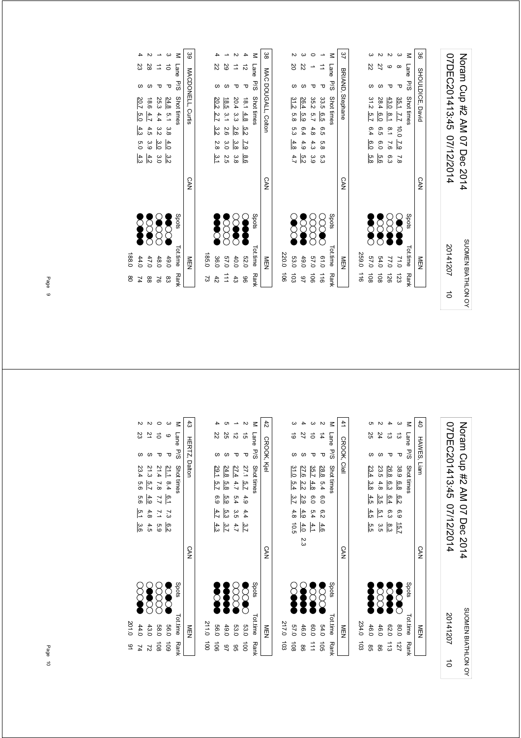| 07DEC201413:45 07/12/2014 | Notam Cup #2 AM 07 Dec 2014 |
|---------------------------|-----------------------------|
| 20141207                  | SUOMEN BIATHLON OY          |
|                           |                             |

|                  | Tottime Rank  | Spots         |            | M Lane PSS Shot times                          |    |
|------------------|---------------|---------------|------------|------------------------------------------------|----|
|                  | NEN           |               | <b>CAN</b> | BRIAND, Stephane                               | 42 |
|                  |               |               |            |                                                |    |
|                  | 259.0 116     |               |            |                                                |    |
| 108              | 0'29          | <b>Second</b> |            | 31.2 5.7 6.4 6.0<br> თ<br> გე                  | Z2 |
| $\overline{108}$ | 54.0          | <b>Second</b> |            | 28.4<br>$\frac{6}{9}$<br>6.5<br>6.0<br>.<br>მე |    |
| 126              | 77.0          | 8             |            | 43.0<br>$\frac{81}{2}$<br>8.1 7.6 6.3          |    |
|                  | 71.0 123      | S             |            | ∞<br>Δ<br>35.1 7.7 10.0 7.9 7.8                |    |
|                  | Tot.time Rank | Spots         |            | Lane P/S Shot times                            | Μ  |
|                  | NEN           |               | <b>CAN</b> | SHOULDICE, David                               | 36 |

|                      | $\frac{1}{2}$ |            | $\frac{1}{2}$ |         |  |                      |                  |                     |    | š      |
|----------------------|---------------|------------|---------------|---------|--|----------------------|------------------|---------------------|----|--------|
|                      |               |            |               |         |  |                      |                  |                     |    |        |
|                      | 220.0 106     |            |               |         |  |                      |                  |                     |    |        |
| 103                  | 53.0          | <b>SCC</b> |               | 4.7     |  |                      | 31.2 5.8 5.3 4.8 |                     | δ  |        |
| 97                   | 49.0          | Š          |               | ra<br>V |  | 26.4 5.9 6.4 4.9     |                  |                     | 22 |        |
| $\overrightarrow{0}$ | 0.75          | 8<br>8     |               |         |  | 35.2 5.7 4.8 4.3 3.9 |                  |                     |    |        |
| $\frac{1}{9}$        | 0.10          | ECC        |               |         |  | 33.5 6.5 6.5 5.8 5.3 |                  |                     |    |        |
|                      | Tot.time Rank | Spots      |               |         |  |                      |                  | Lane P/S Shot times |    | $\leq$ |
|                      | NEN           |            | <b>CAN</b>    |         |  |                      |                  | 37 BRIAND, Stephane |    |        |

|                      | 185.0         |                       |            |                      |                |  |                  |                     |                      |        |
|----------------------|---------------|-----------------------|------------|----------------------|----------------|--|------------------|---------------------|----------------------|--------|
|                      | 36.0          | <b>SOOK</b>           |            | 20.2 2.7 3.2 2.8 3.1 |                |  |                  |                     | Z2                   |        |
| $\overrightarrow{=}$ | 57.0          | $\sum_{i=1}^{\infty}$ |            | 2.5                  |                |  | 18.5 3.1 2.6 3.0 |                     | 59                   |        |
| 43                   | 40.0          | <b>SOURCE</b>         |            | ဖွဲ                  | မ္မ<br>ဇ       |  | 20.4 3.3 2.6     |                     | $\overrightarrow{ }$ |        |
| 96                   | 52.0          | Ş                     |            | $\frac{8}{9}$        | $\overline{C}$ |  | 18.1 4.8 5.2     |                     | ನ                    |        |
|                      | Tot.time Rank | Spots                 |            |                      |                |  |                  | Lane P/S Shot times |                      | $\leq$ |
|                      | MEN<br>N      |                       | <b>CAN</b> |                      |                |  |                  | MAC DOUGALL, Colton |                      | 88     |

|       |                  |             |                      |              | Σ           | 89                |
|-------|------------------|-------------|----------------------|--------------|-------------|-------------------|
|       | 23               | 28          | $\overrightarrow{=}$ | $\vec{a}$    | Lane        |                   |
|       |                  |             |                      | Δ            | ਂ<br>ਅ      |                   |
|       | 20.7             | 9.81        | 25.3 4.4             |              | Shot times  | MACDONELL, Curtis |
|       | ო<br>თ           | 4.7         |                      | 24.8 5.1 3.8 |             |                   |
|       | 4.3              | 4.5         | ς<br>Μ               |              |             |                   |
|       | $\overline{0.0}$ | 3.9         | 3.0                  | 4.0          |             |                   |
|       | 4.3              | $rac{4}{5}$ | 3.0                  | یں<br>ذہا    |             |                   |
|       |                  |             |                      |              |             | <b>CAN</b>        |
|       | <b>SP</b>        |             |                      | E            | Spots       |                   |
|       |                  |             |                      |              |             |                   |
| 188.0 | 44.0             | 47.0        | 48.0                 | 49.0         | Tot.time    | ≧型                |
| g     | 74               | 88          | $\approx$            | 83           | <b>Rank</b> |                   |

Noram Cup #2 AM 07 Dec 2014<br>07DEC201413:45 07/12/2014 07DEC201413:45 07/12/2014 Noram Cup #2 AM 07 Dec 2014 SUOMEN BIATHLON OY SUOMEN BIATHLON OY 20141207

5

|       | ಕ               |                 |                  | 고                          | Lane       |                    |
|-------|-----------------|-----------------|------------------|----------------------------|------------|--------------------|
|       |                 |                 | Δ                | ᠊ᠣ                         | ∵<br>So    | <b>CROOK, Clel</b> |
|       | 31.0            | 27.6            | 35.7             | 28.8                       | Shot times |                    |
|       | 5.4             | $\frac{2.2}{2}$ | 4.8              | b.34                       |            |                    |
|       | $\frac{3.7}{2}$ | 2.9             | $\overline{0.0}$ | $-0.0$                     |            |                    |
|       | 4.8 10.5        | 4.9             | 5.4              | თ<br>ა                     |            |                    |
|       |                 | 4.0             | 4.1              | 4.6                        |            |                    |
|       |                 | ىم<br>ما        |                  |                            |            |                    |
|       |                 |                 |                  |                            |            | <b>CAN</b>         |
|       |                 |                 |                  |                            |            |                    |
|       |                 |                 |                  | $\left\{ \right. \right\}$ | Spots      |                    |
|       | S               | <b>SPORT</b>    | S                |                            |            |                    |
|       |                 |                 |                  |                            |            |                    |
| 217.0 | 0'29            | 46.0            | 00.0             | 04.0                       | Tot time   |                    |
| ಕ್ಷ   | $\frac{1}{8}$   | ႜ               | $\frac{1}{1}$    | $\overrightarrow{50}$      | Rank       |                    |
|       |                 |                 |                  |                            |            |                    |

|               |                |         |          |           | z             | 42          |
|---------------|----------------|---------|----------|-----------|---------------|-------------|
|               | Z2             | 25      | ನ        | GÌ        | Lane P/S      | CROOK, Kjel |
|               |                |         |          | τ         |               |             |
|               | 29.1           | 24.8    | 27.4     | 27.1 5.7  | Shot times    |             |
|               | $\frac{5}{12}$ | .<br>ფ  | 4.7      |           |               |             |
|               | 6.9 $4.7$      | 63      | 5.4 3.5  | 4.9 4.4   |               |             |
|               |                | က<br>(၁ |          |           |               |             |
|               | 4.3            | 3.7     | 4.7      | 3.7       |               |             |
|               |                |         |          |           |               | <b>CAN</b>  |
|               | Š              | Š       | $\infty$ | <b>SS</b> | Spots         |             |
| 211.0         | 0.95           | 49.0    | 53.0     | 53.0      | Tot.time Rank | NEN<br>EN   |
| $\frac{1}{2}$ | $\vec{5}$      | 46      | 96       | $\vec{a}$ |               |             |

|       |             |                |                                                       |      | $\leq$        | $\ddot{3}$           |
|-------|-------------|----------------|-------------------------------------------------------|------|---------------|----------------------|
|       | ΣS          | 2              | $\vec{0}$                                             | G    | Lane          |                      |
|       |             |                | π                                                     | τ    | °<br>S∕d      | <b>HERTZ, Dalton</b> |
|       | 23.4 5.6    | 21.3 5.7       | $\frac{21.1}{21.4}$ 8.4 \frac{6.1} 7.3 \frac{6.2} 6.2 |      | Shot times    |                      |
|       |             |                |                                                       |      |               |                      |
|       | 5.6 5.1 3.6 | 4.9            |                                                       |      |               |                      |
|       |             | $-4.8$         |                                                       |      |               |                      |
|       |             | $\frac{4}{10}$ |                                                       |      |               |                      |
|       |             |                |                                                       |      |               | <b>CAN</b>           |
|       |             | 8888<br>8888   |                                                       |      | Spots         |                      |
| 201.0 | 44.0        | 43.0           | <b>58.0</b>                                           | 0.60 | Tot.time Rank | MEN<br>EN            |
| ى     |             | 21             | $\overline{5}$                                        | 60L  |               |                      |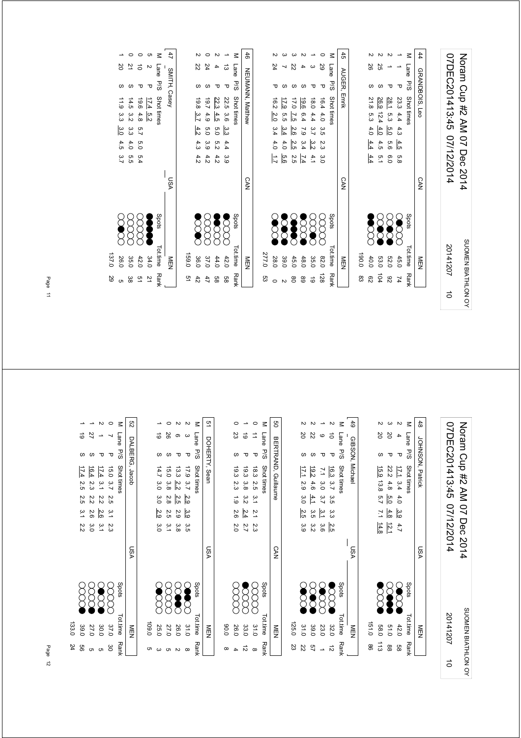| 07DEC201413:45 07/12/2014 | Notam Cup #2 AM 07 Dec 2014 |
|---------------------------|-----------------------------|
| 20141207                  | SUOMEN BIATHLON OY          |
| $\vec{0}$                 |                             |

SUOMEN BIATHLON OY

SUOMEN BIATHLON OY

| Spots<br>Tot.time Rank |           |            | M Lane P/S Shot times                                     |             |
|------------------------|-----------|------------|-----------------------------------------------------------|-------------|
| NEN                    |           | <b>CAN</b> | AUGER, Emrik                                              | $\ddot{45}$ |
| 0.081                  |           |            |                                                           |             |
| 40.0                   | 3<br>8    |            | 26<br>21.8 5.3 4.0<br>$\frac{4.4}{4.4}$ $\frac{4.4}{4.4}$ |             |
| 53.0                   | S         |            | 25<br>26.9 12.4 4.0<br>4.5<br>ن<br>د                      |             |
| 52.0                   | S         |            | 28.1 5.3<br>5.0<br>95<br>0.0                              |             |
| 45.0                   | <b>SC</b> |            | 23.344444<br>4.5<br>o<br>8                                |             |
| Tot.time Rank          | Spots     |            | Lane P/S<br>Shot times                                    | $\leq$      |
| NEN                    |           | <b>CAN</b> | GRANDBOIS, Leo                                            | 44          |

| 46<br>$\leq$<br>$\leq$<br>22<br>24<br>29<br>22<br>Lane<br>Lane<br>ω                                                                                                                                                        |                     |    |   |  |  |     |    |  |  |
|----------------------------------------------------------------------------------------------------------------------------------------------------------------------------------------------------------------------------|---------------------|----|---|--|--|-----|----|--|--|
|                                                                                                                                                                                                                            | 45                  |    |   |  |  |     |    |  |  |
|                                                                                                                                                                                                                            |                     |    |   |  |  |     |    |  |  |
| S<br>᠊ᠣ<br>᠊ᠣ                                                                                                                                                                                                              | AUGER, Emrik<br>5/S | ᠊ᠣ | S |  |  | P.8 | ᠊ᠣ |  |  |
| <b>NEUMANN, Matthew</b><br>Shot times<br>22.5 3.6<br>Shot times<br>22.3<br>19.8<br>16.2<br>9.61<br>16.440<br>19.7<br>0.81<br>17.9<br>0.71<br>$\frac{3.7}{2}$<br>4.5<br>4.9<br>5.5<br>2.0<br>$\overline{2.5}$<br>4.4<br>6.4 |                     |    |   |  |  |     |    |  |  |
| 4.2<br>$\frac{3}{4}$ 4<br>$-2.6$<br>$39279$<br>$-29$<br>3.9<br>0<br>0<br>0<br>0                                                                                                                                            |                     |    |   |  |  |     |    |  |  |
| $\frac{a}{d} \frac{a}{d} \frac{a}{d} \frac{d}{d} \frac{4}{d}$<br>2.3<br>5<br>2 3 3 3<br>3 3<br>4.4                                                                                                                         |                     |    |   |  |  |     |    |  |  |
| $4.7$<br>$4.7$<br>$4.6$<br>$6.6$<br>$4.7$<br>4.2<br>3.9<br>ပ်<br>4.2<br>$\frac{4}{2}$                                                                                                                                      |                     |    |   |  |  |     |    |  |  |
| <b>CAN</b>                                                                                                                                                                                                                 | CAN                 |    |   |  |  |     |    |  |  |
| Spots<br>Spots                                                                                                                                                                                                             |                     |    |   |  |  |     |    |  |  |
|                                                                                                                                                                                                                            |                     |    |   |  |  |     |    |  |  |
| <b>Tot.time</b><br><b>Tot.time</b><br>277.0<br>159.0<br>36.0<br>39.0<br>28.0<br>37.0<br>44.0<br>42.0<br>45.0<br>48.0<br>0.28<br>35.0<br>NEN                                                                                | NEN<br>N            |    |   |  |  |     |    |  |  |
| 128<br>Rank<br><b>Rank</b><br>91<br>ςg<br>$\vec{6}$<br>68<br>88<br>88<br>47<br>42<br>80                                                                                                                                    |                     |    |   |  |  |     |    |  |  |

47 SMITH, Casey

SMITH, Casey

M Lane P/S Shottlimes<br>5 2 P 174 52<br>6 2 P 19.6 4.8 5.7 5.0 5.4<br>0 10 P 19.6 4.8 5.7 5.0 5.5<br>0 21 S 11.9 3.3 <u>3.0</u> 4.5 3.7

USA

P/S Shot times  $\sim$  Shots Shots Tot.time P/S Shot times

2.2 5 24.0 24.0 5 24.0 5 24.0 5 24.0 5 24.0 5 24.0 5 24.0 5 24.0 5 24.0 5 24.0 5 24.0 5 24.0 5 24.0 5 24.0 5 2 51 5.4 5.0 4.8 42.0 5.7 0 10 P 19.6 0 21 S 14.5 3.2 3.3 4.0 5.5 (XXXX) 38.0 38 1 20 S 11.9 3.3 3.0 4.5 3.7 (XXX) 26.0 5

 $\frac{1}{2}$ 

 $\begin{array}{lllllll} &\text{Tottime} &\text{Rank} \\\text{20} & 34.0 & 51\ 14 & 24.0 & 51\ 15 & 38 & 38\ 15 & 26.0 & 36\ 137.0 & 29 & 59\ 137.0 & 29 & 59\ 137.0 & 29 & 59\ 137.0 & 29 & 59\ 137.0 & 29 & 59 & 59\ 137.0 & 29 & 59 & 59\ 137.0 & 29 & 59 & 59 & 59\ 137.0 & 29 & 59 & 59$ 

137.0 29

MEN

|           | 24                     | 133.0             |       |                             |                |                |                      |                 |                     |                  |                          |                           |
|-----------|------------------------|-------------------|-------|-----------------------------|----------------|----------------|----------------------|-----------------|---------------------|------------------|--------------------------|---------------------------|
|           | 99                     | 39.0              |       |                             | 2.2            | بہ<br>∸        | 2.5                  | 2.5             | 17.4                | ဖ                | ಠ                        | $\overline{\phantom{0}}$  |
|           | ຕ                      | 27.0              |       |                             | 3.0            | 2.6            | 2.2                  | 2.3             | 16.4                | ဖ                | 27                       | $\overline{\phantom{a}}$  |
|           | ຕ                      | 30.0              |       |                             | $\tilde{5}$    | 2.6            | 2.2                  | $\frac{3}{2}$   | 17.4                | τ                | $\overline{\phantom{a}}$ | $\mathbf{v}$              |
|           | 8                      | 37.0              |       |                             | 2.3            | ىب<br>↘        | 2.5                  | 2.7             | 15.0                | $\mathbf \sigma$ | ┙                        | $\circ$                   |
|           | <b>Rank</b>            | Tot.time          | Spots |                             |                |                |                      |                 | Shot times          | P/S              | <b>Lane</b>              | $\leq$                    |
|           |                        | <b>NEN</b>        |       | <b>LSA</b>                  |                |                |                      |                 | DALBERG, Jacob      |                  |                          | g                         |
|           | c                      | 109.0             |       |                             |                |                |                      |                 |                     |                  |                          |                           |
|           |                        | 25.0              |       |                             | 3.0            | 2.9            | ς.                   | 3.0             | 14.7                | $\omega$         | ಠ                        | ∸                         |
|           | $\omega$ $\sigma$      | 27.0              |       |                             | $\tilde{5}$    | 2.5            | 2.8                  | 3.8             | 15.0                | ဖ                | 26                       | $\circ$                   |
|           | $\sim$                 | 26.0              |       |                             | 3.8            | 2.9            | 2.5                  | $\frac{2.2}{2}$ | 13.3                | $\mathbf \tau$   |                          | $\sim$                    |
|           | $\infty$               | 31.0              |       |                             | α<br>Θ         | 3.9            | 2.9                  | 2.7             | 621                 | $\mathbf \sigma$ | ၈ ယ                      | $\mathbb N$               |
|           | <b>Rank</b>            | Tot.time          | Spots |                             |                |                |                      |                 | Shot times          | P/S              | Lane                     | $\leq$                    |
|           |                        | NEN               |       | <b>USA</b>                  |                |                |                      |                 | Sean                | DOHERTY,         |                          | ā,                        |
|           | $\infty$               | 0.08              |       |                             |                |                |                      |                 |                     |                  |                          |                           |
|           | 4                      | 26.0              |       |                             | $\overline{c}$ | 2.6            | د<br>6               | 2.3             | 19.3                | $\omega$         | 23                       | 0                         |
|           | $\vec{5}$              | 33.0              |       |                             | 2.7            | 2.4            | ω<br>w               | 3.8             | 6.3                 | ᠊ᠣ               | ಠ                        | ∸                         |
|           | $\infty$               | 31.0              |       |                             | 2.3            | $\frac{5}{2}$  | $\tilde{\mathbf{z}}$ | 2.5             | 6.3                 | τ                | $\vec{=}$                | $\circ$                   |
|           | Rank                   | Tot.time          | Spots |                             |                |                |                      |                 | Shot times          | P/S              | Lane                     | $\leq$                    |
|           |                        | NEN               |       | <b>CAN</b>                  |                |                |                      |                 | BERTRAND, Guillaume |                  |                          | g                         |
|           | 23                     | 125.0             |       |                             |                |                |                      |                 |                     |                  |                          |                           |
|           | 22                     | 31.0              |       |                             | 3.9            | $\sim$<br>'n   | őΩ                   | 2.9             | 17.1                |                  | 25                       |                           |
|           | 57                     | 39.0              |       |                             | 3.2            | 3.5            | $\frac{4}{1}$        | 4.6             | 19.2                | <b>00 00</b>     | 22                       | $\sim$ $\sim$             |
|           | $\rightarrow$          | 23.0              |       |                             | 3.6            | م.<br>ح        | 3.7                  | 3.0             | $\overline{2}$      | τ                | $\mathbf \circ$          | $\rightarrow$             |
|           | $\vec{\tilde{\omega}}$ | 32.0              |       |                             | 2.5            | ယ<br>ىن        | ς<br>Θ               | 3.7             | 16.3                | $\mathbf \sigma$ | $\vec{0}$                | $\sim$                    |
|           | <b>Rank</b>            | Tot.time          | Spots |                             |                |                |                      |                 | Shot times          | P/S              | Lane                     | $\leq$                    |
|           |                        | <b>NEN</b>        |       | <b>DSA</b>                  |                |                |                      |                 | GIBSON, Michael     |                  |                          | ස්                        |
|           | 8                      | 151.0             |       |                             |                |                |                      |                 |                     |                  |                          |                           |
|           | 113                    | 58.0              |       |                             | 14.8           | $\overline{2}$ | 5.7                  | 13.8            | 15.9                | $\omega$         | 20                       |                           |
|           | $^{\tt 8}$             | 019               |       |                             | 12.1           | 4.8            | 5.0                  | 4.8             | 22.2                | τ                | SO                       | $\sim$ $\omega$           |
|           | 88                     | 42.0              |       |                             | 4.7            | 3.9            | 4.0                  | 3.4             | LII                 | $\mathbf \tau$   | 4                        | $\boldsymbol{\mathsf{N}}$ |
|           | Rank                   | Tot.time          | Spots |                             |                |                |                      |                 | Shot times          | P/S              | Lane                     | $\leq$                    |
|           |                        | MEN               |       | VS∩                         |                |                |                      |                 | JOHNSON, Patrick    |                  |                          | $\frac{4}{6}$             |
|           |                        |                   |       |                             |                |                |                      |                 |                     |                  |                          |                           |
| $\vec{o}$ |                        | 20141207          |       |                             | 07/12/2014     |                |                      |                 | 07DEC201413:45      |                  |                          |                           |
|           |                        | SUOMEN BIATHLON C |       | Noram Cup #2 AM 07 Dec 2014 |                |                |                      |                 |                     |                  |                          |                           |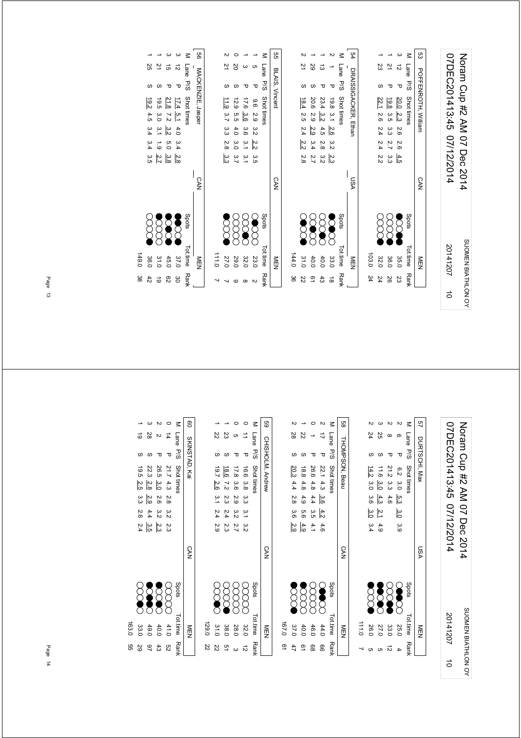| 07DEC201413:45 07/12/2014 | Noten Cup #2 AM 07 Dec 2014 |
|---------------------------|-----------------------------|
| 20141207                  | SUOMEN BIATHLON OV          |
|                           |                             |

|        |          |        | Ξ           | Sa             |       |               |      |               |               | ⋜               | 54                   |       |      |          |      | ⋜               | င္ယာ                |
|--------|----------|--------|-------------|----------------|-------|---------------|------|---------------|---------------|-----------------|----------------------|-------|------|----------|------|-----------------|---------------------|
| 20     | ω        | ပာ     | Lane        |                |       | 71            | 29   | ಪ             |               | Lane            |                      |       | 23   | 21       | ನ    | Lane            |                     |
|        | υ        | τ      | P./S        | BLAIS, Vincent |       | ഗ             | ഗ    | τ             | ᠊ᠣ            | 5/9             | DRAISSIGACKER, Ethan |       | S    | υ        | ᠊ᠣ   | 5/9             | POFFENROTH, William |
| 12.9   | 17.6     | 6.6    | Shot times  |                |       | 18.4          | 20.6 | 23.4          | 19.8          | Shot times      |                      |       | 22.1 | 19.8     | 20.0 | Shot times      |                     |
| ო<br>თ | 3.6      | 29     |             |                |       | 2.5           | 2.9  | $\frac{3}{2}$ | $\frac{6}{1}$ |                 |                      |       | 2.6  | 3.5      | 2.3  |                 |                     |
| 4.0    | 3.6      | 3.2    |             |                |       | 2.4           | 2.9  | 4.5           | 2.6           |                 |                      |       | 2.4  | ىن<br>ما | 2.6  |                 |                     |
| 3.0    | 3.1      | 2.2    |             |                |       | 2.2           | 3.4  | 2.8           | ς<br>Σ        |                 |                      |       | 2.4  | 2.7      | 2.6  |                 |                     |
| 3.7    | 3.1      | ς<br>Θ |             |                |       | $\frac{2}{8}$ | 2.7  | 3.2           | 2.3           |                 |                      |       | 22   | ယ<br>ယ   | 4.5  |                 |                     |
|        |          |        |             | CAN            |       |               |      |               |               |                 | ASU                  |       |      |          |      |                 | CAN                 |
|        |          |        | Spots       |                |       |               |      |               | ੋ             | Spots           |                      |       |      |          | ◠    | Spots           |                     |
|        |          |        |             |                |       |               |      |               |               |                 |                      |       |      |          |      |                 |                     |
| 29.0   | 32.0     | 23.0   | Tot.time    | MEN            | 144.0 | 31.0          | 40.0 | 40.0          | 33.0          | <b>Tot.time</b> | NEN                  | 103.0 | 32.0 | 36.0     | 35.0 | <b>Tot.time</b> | NEN                 |
| ဖ      | $\infty$ | N      | <b>Rank</b> |                | 88    | 22            | 51   | 33            | $\vec{8}$     | <b>Rank</b>     |                      | 24    | 24   | 92       | ΣS   | <b>Rank</b>     |                     |
|        |          |        |             |                |       |               |      |               |               |                 |                      |       |      |          |      |                 |                     |

56 MACKENZIE, Jasper  $\sim$  62 3.8 5.0 7.2 45.0 3.2 3 15 P 21.8 3 12 P 17.4 5.1 4.0 3.4 2.8 P 17.4 5.1  $\sqrt{2}$ 2 21 S 11.9 3.7 3.3 2.8 3.3 2.9 X X X 2.0 7  $\overline{2}$ MACKENZIE, Jasper S  $11.9$  3.7 3.3 2.8 3.3 P/S Shot times  $\sim$  Spots Tot.time Rank CAN Spots  $\infty$ **SCORE**  $\mathcal{S}$  $\begin{array}{cc}\n2 & 0 & 1 \\
1 & 0 & 0\n\end{array}$ MEN 111.0 7

M Lane P/S Shot times<br>3 12 P 1<u>74 5.1</u> 4.0 3.4 <u>2.8</u><br>3 15 P <u>218</u> 7.2 <u>3.2</u> 5.0 <u>3.8</u><br>1 21 S 19.2 4.5 3.4 3.4 3.5<br>1 25 S 19.2 4.5 3.4 3.4 3.5 1 25 3.4 4.5 3.4 3.4 3.5 (XXX) 36.0 42 1 21 S 19.5 3.0 3.1 1.9 2.7 N X X X 3.0 19  $8000$ E 149.0 38

| 07DEC201413:45 07/12/2014 | Noram Cup #2 AM 07 Dec 2014 |
|---------------------------|-----------------------------|
| 20141207                  | SUOMEN BIATHLON OY          |
|                           |                             |

|   | 111.0         |                       |     |               |               |     |               |                  |     |      |        |
|---|---------------|-----------------------|-----|---------------|---------------|-----|---------------|------------------|-----|------|--------|
|   | 26.0          | $\sum_{i=1}^{\infty}$ |     | $\frac{3}{4}$ | မ္မ           |     | 3.0 3.6       | $\frac{14.2}{ }$ |     | 24   |        |
|   | 27.0          | <b>SCOCC</b>          |     | 4.9           | $\frac{2}{3}$ | 4.3 | $\frac{3}{9}$ | 11.6             |     | ΩŚ   |        |
| ನ | 33.0          | <b>SCONDER</b>        |     |               |               | 4.6 |               | 21.2 3.3         |     |      |        |
|   | 25.0          | S                     |     | 3.9           | $\frac{3}{2}$ |     |               | $6.2$ 3.0 $5.3$  | ᠊ᠣ  |      |        |
|   | Tot.time Rank | Spots                 |     |               |               |     |               | Shot times       | 9/S | Lane | $\leq$ |
|   | NEN           |                       | VS∩ |               |               |     |               | DURTSCHI, Max    |     |      | 9      |

|       |                              |              |              |                 |                       | 88                    |
|-------|------------------------------|--------------|--------------|-----------------|-----------------------|-----------------------|
|       | 28                           | 22           |              |                 | M Lane P/S Shot times |                       |
|       |                              |              |              | ᠊ᠣ              |                       |                       |
|       | 20.3                         |              |              | 22.1 4.3 3.6    |                       | <b>THOMPSON, Beau</b> |
|       |                              | 18.8 4.8 4.9 | 26.6 4.8 4.4 |                 |                       |                       |
|       | 4.4 2.8 3.6                  |              |              |                 |                       |                       |
|       |                              | 9.6          | +<br>3∶9     | $\frac{4.2}{ }$ |                       |                       |
|       | 2.9                          | 4.9          | 4.1          | 4.6             |                       |                       |
|       |                              |              |              |                 |                       | <b>CAN</b>            |
|       | $\sum\limits_{i=1}^{\infty}$ |              | XXX          | X               | stod <sub>S</sub>     |                       |
| 167.0 | 37.0                         | 40.0         | 46.0         | 44.0            | Tot.time Rank         | )<br>空                |
| 2     |                              | 2            | 89           | 99              |                       |                       |

| ֧֢֚֚֬֝        |       |                      |                      |                      |                      | $\leq$              | 69               |
|---------------|-------|----------------------|----------------------|----------------------|----------------------|---------------------|------------------|
|               |       | Z2                   | 23                   |                      |                      |                     | CHISHOLM, Andrew |
| $\frac{1}{2}$ |       |                      |                      |                      |                      | Lane P/S Shot times |                  |
|               |       |                      |                      |                      |                      |                     |                  |
|               |       |                      |                      |                      |                      |                     |                  |
|               |       | 19.7 2.6 3.1 2.4 2.9 | 18.6 7.2 2.3 2.4 2.3 | 17.8 3.6 2.9 3.2 2.7 | 16.6 3.8 3.3 3.1 3.2 |                     |                  |
|               |       |                      |                      |                      |                      |                     |                  |
|               |       |                      |                      |                      |                      |                     |                  |
| $\vdots$      |       |                      |                      |                      |                      |                     | <b>CAN</b>       |
|               |       | <b>SS</b>            |                      | 8<br>8               |                      | Spots               |                  |
| $\vdots$      | 129.0 | 31.0                 | 38.0                 | 28.0                 | 32.0                 | Tot.time Rank       | 三四               |
|               | Z2    | Z2                   | 9                    | ω                    | ನ                    |                     |                  |

|       |                  |                 |               |                  | $\leq$              | පි            |
|-------|------------------|-----------------|---------------|------------------|---------------------|---------------|
|       |                  | 28              |               | $\sharp$         | Lane P/S Shot times |               |
|       |                  |                 |               | τ                |                     |               |
|       | 19.5 2.5         | 22.3            | 26.5 3.0      | 21.7 4.3 2.8 3.2 |                     | SKINSTAD, Kai |
|       |                  | $\frac{2.8}{2}$ |               |                  |                     |               |
|       | 3.326            | 2.9             | 2.6 3.2       |                  |                     |               |
|       |                  | 4.4             |               |                  |                     |               |
|       | 2.4              | 3.5             | 2.3           | 23               |                     |               |
|       |                  |                 |               |                  |                     | <b>CAN</b>    |
|       | $\sum_{i=1}^{n}$ | <b>DOOD</b>     | <b>Second</b> | E                | stod <sub>S</sub>   |               |
|       |                  |                 |               |                  |                     |               |
| 163.0 | 33.0             | 49.0            | 40.0          | 41.0             | Tot.time Rank       | NEN           |
| 9g    | 29               | ಇ               | 43            | g                |                     |               |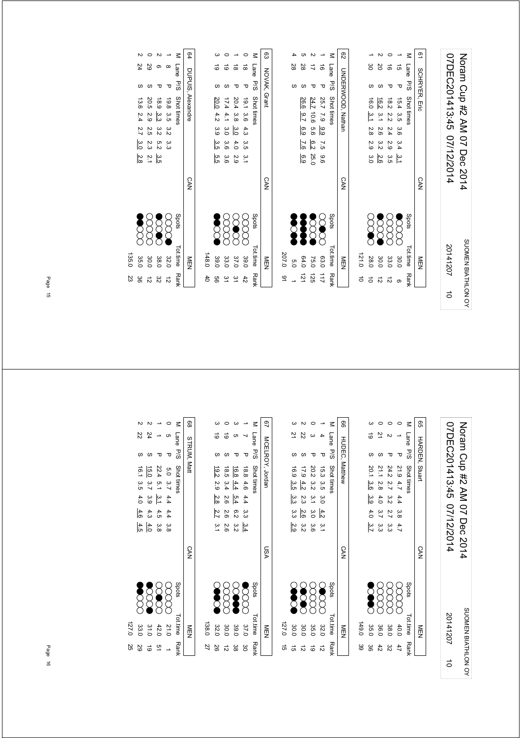| <b>SCHRYER, Eric</b><br>°<br>S∕a<br>τ<br>Shot times<br>16.0 3.1 2.8 2.9<br>15.4 3.5 3.6 3.4<br>16.2 3.1 2.6<br>18.2 2.2 2.4 2.9<br>ς<br>Σ<br>$\frac{3}{2}$<br>ب<br>أ∼<br>α<br>Θ<br>2.6<br><b>CAN</b><br>Spots<br>8<br>$\infty$<br><b>SSS</b><br><b>SS</b><br>Tot.time<br>121.0<br>30.0<br>28.0<br>30.0<br>33.0<br>MEN<br><b>Rank</b><br>12<br>ಸ | NEN | <b>CAN</b> | <b>CNDERWOOD</b> , Nathan |      | $\overline{c}$ |
|-------------------------------------------------------------------------------------------------------------------------------------------------------------------------------------------------------------------------------------------------------------------------------------------------------------------------------------------------|-----|------------|---------------------------|------|----------------|
|                                                                                                                                                                                                                                                                                                                                                 |     |            |                           |      |                |
|                                                                                                                                                                                                                                                                                                                                                 |     |            |                           |      |                |
|                                                                                                                                                                                                                                                                                                                                                 |     |            |                           | မ္မ  |                |
|                                                                                                                                                                                                                                                                                                                                                 |     |            |                           | 20   |                |
|                                                                                                                                                                                                                                                                                                                                                 |     |            |                           | ಕ    |                |
|                                                                                                                                                                                                                                                                                                                                                 |     |            |                           | ಕ    |                |
|                                                                                                                                                                                                                                                                                                                                                 |     |            |                           | Lane | z              |
|                                                                                                                                                                                                                                                                                                                                                 |     |            |                           |      | <u>م</u>       |

|                 |                |    |                      |               |                      | $\leq$              |                      |
|-----------------|----------------|----|----------------------|---------------|----------------------|---------------------|----------------------|
| 63 NOVAK, Grant |                | 28 | 28                   | ミ             | ಹ                    | Lane P/S Shot times | 62 CNDERWOOD, Nathan |
|                 |                |    |                      |               | τ                    |                     |                      |
|                 |                |    |                      | 24.7 10.6 5.6 |                      |                     |                      |
|                 |                |    |                      |               |                      |                     |                      |
|                 |                |    | 26.6 9.7 6.9 7.6 6.9 |               | 25.7 7.9 9.9 7.5 9.6 |                     |                      |
|                 |                |    |                      |               |                      |                     |                      |
|                 |                |    |                      | 6.222.0       |                      |                     |                      |
| <b>CAN</b>      |                |    |                      |               |                      |                     | <b>CAN</b>           |
|                 |                | Š  | Š                    | 2000          | X                    | Spots               |                      |
| M⊟N             | 207.0          | ρ. | 64.0                 | 75.0          | <b>63.0</b>          | Tot.time Rank       | NEN                  |
|                 | $\frac{16}{1}$ |    | $-151$               | 52            | $\frac{1}{2}$        |                     |                      |

| $\leq$ |   | Lane P/S | Shot times   |     |                 |       |         | Spots      | Tot.time | <b>Rank</b>   |
|--------|---|----------|--------------|-----|-----------------|-------|---------|------------|----------|---------------|
|        | ಹ | ᠊ᠣ       | 19.1 3.6 4.3 |     |                 | 3.5.1 |         | 8<br>8     | 39.0     | 42            |
|        | ಹ |          | 20.4 3.8     |     | $\frac{3.0}{2}$ | 4.0   | ς.<br>Θ | $\infty$   | 37.0     | $\frac{2}{3}$ |
|        | ಠ | ળ        | 17.441       |     | 3.0 3.6 3.6     |       |         | xxx        | 33.0     | ین            |
|        |   | S        | 20.0         | 4.2 | $3.9$ 3.5 5.5   |       |         | <b>SSS</b> | 39.0     | 99            |
|        |   |          |              |     |                 |       |         |            | 148.0    | $^{40}$       |

| N                 |                  | N            |              |            | 64                |
|-------------------|------------------|--------------|--------------|------------|-------------------|
| 24                | 82               | ດ            | $\infty$     | M Lane P/S |                   |
| S                 | ળ                | ᠊ᠣ           | ᠊ᠣ           |            |                   |
| 13.6 2.4 2.7      | 20.5 2.9 2.5 2.3 | 18.9 3.3 3.2 | 19.8 3.5 3.2 | Shot times | DUPUIS, Alexandre |
|                   |                  |              |              |            |                   |
|                   |                  |              |              |            |                   |
| 3.0               |                  | 5.2          | .<br>33      |            |                   |
| $\frac{2.8}{2.8}$ | $-2.1$           | 3.5          |              |            |                   |
|                   |                  |              |              |            | <b>CAN</b>        |
| 3888              |                  |              |              | Spots      |                   |
| 35.0              | 30.0             | 38.0         | 32.0         | Totiime    | ≧□                |
| ల్ల               | ᆣ                | پہ           | $\vec{r}$    | Ρğ         |                   |

**MEN<br>
OLLIME RANK**<br>
32.0 12<br>
38.0 32.0<br>
38.0 23<br>
135.0 23<br>
135.0 23 P/S Shot times  $\sim$  Spots Tot.time Rank 12 3.3 3.5 32.0 3.2 1 8 P 19.8 32 3.5 5.2 3.3 38.0 3.2 2 6 P 18.9 0 29 2.1 2.9.5 2.9 2.5 2.3 2.1  $(X \times X)$  3.0.0 12  $2$  2.4 S 13.6 2.4 2.7 3.0 2.8  $\sqrt{3}$ 135.0 23

| 07DEC201413:45 07/12/2014 | Noram Cup #2 AM 07 Dec 2014 |
|---------------------------|-----------------------------|
| 20141207                  | SUOMEN BIATHLON OY          |
| $\vec{0}$                 |                             |

| 99 |      |     | <b>HARDEN, Stuar</b> |           |             |     |               | <b>CAN</b> |              | NEN           |     |
|----|------|-----|----------------------|-----------|-------------|-----|---------------|------------|--------------|---------------|-----|
|    | Lane | 5/5 | Shot times           |           |             |     |               |            | spots        | Tot.time Rank |     |
|    |      | Δ   | 21.9 4.7 4.4 3.8     |           |             |     | 4.7           |            | 88           | 40.0          | 47  |
|    |      |     | 24.2                 | 27        | 3.2         | 2.7 | ده<br>ما      |            | XXX          | 38.0          | జ   |
|    |      |     | 21.1                 |           | 2.8 4.0 3.7 |     | က်<br>ကိ      |            | gg           | 36.0          | 42  |
|    | 5    |     | 20.1                 | မ္မ<br>(၀ | ვ.<br>მ     | 4.0 | $\frac{3}{7}$ |            | <b>SCARC</b> | 35.0          | မ္တ |
|    |      |     |                      |           |             |     |               |            |              | 149.0         |     |

|       |               |            |                  |              |              | ඉ                     |
|-------|---------------|------------|------------------|--------------|--------------|-----------------------|
|       | 2             | R,         |                  |              | Lane<br>P/S  |                       |
|       |               |            |                  |              |              | <b>HUDEC, Matthew</b> |
|       | 16.9 3.5      | 17.94.2    |                  |              |              |                       |
|       |               |            | 20.2 3.2 3.1 3.0 | 15.3 3.5 3.0 | Shot times   |                       |
|       | ယ<br>ကိ       | 23         |                  |              |              |                       |
|       | دی<br>دن      | 2.6        |                  | $-4.2$       |              |                       |
|       | $\frac{2}{3}$ | ω<br>N     | )<br>ა.ნ         | .<br>2.1     |              |                       |
|       |               |            |                  |              |              | <b>CAN</b>            |
|       | S             | <b>SCR</b> | 8<br>8           | <b>S</b>     | <b>Spots</b> |                       |
|       |               |            |                  |              |              |                       |
| 0'721 | 30.0          | 30.0       | 35.0             | 32.0         | Tot.time     | MEN                   |
| ಕ     |               |            | ಠ                |              | <b>Rank</b>  |                       |

| 138.0         |            |     |             |                                                  |              |                 |                       |    |
|---------------|------------|-----|-------------|--------------------------------------------------|--------------|-----------------|-----------------------|----|
| 32.0          | <b>SOO</b> |     |             | $\frac{19.2}{2.9}$ 2.9 $\frac{2.8}{2.8}$ 2.7 3.1 |              |                 | ಠ                     |    |
| 30.0          | XXX        |     |             | 18.5 3.4 2.6 2.6 2.6                             |              |                 | 6                     |    |
| 39.0          | <b>SOP</b> |     | 6.232       |                                                  | 16.8 4.4 5.4 |                 |                       |    |
| 37.0          | EC         |     | $3.3 \t3.4$ |                                                  | 18.8 4.6 4.4 |                 |                       |    |
| Tot.time Rank | spots      |     |             |                                                  |              |                 | M Lane P/S Shot times |    |
| NEN<br>EN     |            | VSN |             |                                                  |              | MCELROY, Jordan |                       | 97 |

|        |          |      |                 |                 |             | 88                 |
|--------|----------|------|-----------------|-----------------|-------------|--------------------|
|        | Z2       |      |                 | <b>ຕ</b>        | Lane        |                    |
|        |          | S    | τ               | Δ               | P/S         | <b>STRUM, Matt</b> |
|        | 16.1 3.5 | 15.0 | 22.4            |                 | Shot times  |                    |
|        |          | 3.7  | $-5.1$          |                 |             |                    |
|        | 4.0      | 3.9  | $\frac{3.1}{2}$ | 5.0 3.7 4.4 4.4 |             |                    |
|        | 4.6      | 4.3  | 4.5             |                 |             |                    |
|        | 4.5      | 4.0  | 3.8             | ვ<br>ვ          |             |                    |
|        |          |      |                 |                 |             | <b>CAN</b>         |
|        | ROOK     |      | 888             | gga             | Spots       |                    |
| 0'27.0 | 33.0     | 31.0 | 42.0            | $51^{\circ}$    | Tot.time    | MEN                |
| 25     | 29       | ಠ    | 51              |                 | <b>Rank</b> |                    |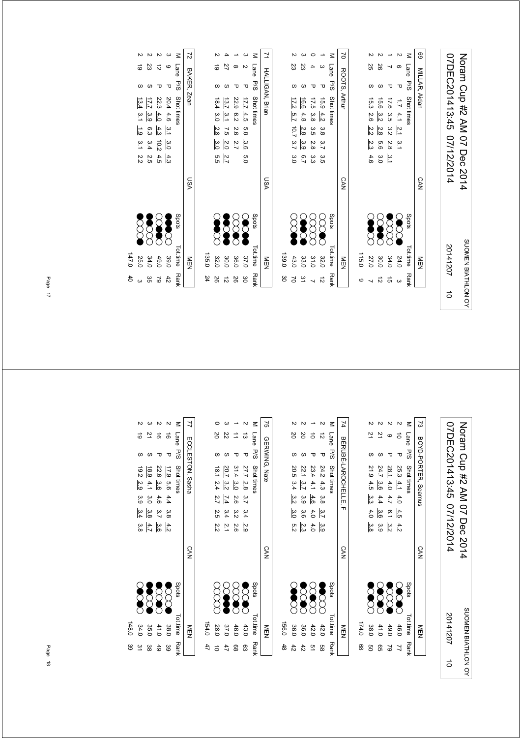| 07DEC201413:45 07/12/2014 | Noram Cup #2 AM 07 Dec 2014 |
|---------------------------|-----------------------------|
| 20141207                  | SUOMEN BIATHLON OY          |
|                           |                             |

|           | Tottimo             | p<br>Stri  | M Instruction or or first first        |
|-----------|---------------------|------------|----------------------------------------|
|           | NEN                 | <b>CAN</b> | $\overline{5}$<br>ROOTS, Arthur        |
|           |                     |            |                                        |
|           | 115.0               |            |                                        |
|           | <b>SOOC</b><br>27.0 |            | 55<br>15.3 2.6 2.2 2.3 4.6             |
| $\vec{z}$ | <b>SOOR</b><br>30.0 |            | 26<br>15.6 3.2<br>2.8<br>თ<br>თ<br>3.0 |
| G)        | 3333<br>34.0        |            | 17.6 3.5 3.2<br>2.8<br>$\frac{3.1}{7}$ |
| $\omega$  | <b>SSS</b><br>24.0  |            | თ<br>Δ<br>$1.7$ 4.1 $2.1$ 3.1          |
|           | Tot.time Rank       | Spots      | $\leq$<br>Lane P/S Shot times          |
|           | MEN<br>N            | <b>CAN</b> | 69<br>MILLAR, Aidan                    |
|           |                     |            |                                        |

| VSN          |          |         |                       | HALLIGAN, Biran     | $\frac{1}{2}$ |
|--------------|----------|---------|-----------------------|---------------------|---------------|
|              |          |         |                       |                     |               |
|              |          |         |                       |                     |               |
| $\gtrapprox$ |          |         | 17.2 5.7 10.7 3.7 3.0 | ΣS                  |               |
| S            | 6.7      | 2.8 3.9 | 16.6 4.8              | 23                  |               |
| 8<br>8       | ده<br>ما |         | 17.5 3.8 3.5 2.8      |                     |               |
| <b>SCOO</b>  |          |         | 15.9 4.2 3.8 3.7 3.5  | ᠊ᠣ                  |               |
| Spots        |          |         |                       | Lane P/S Shot times | $\leq$        |
| <b>CAN</b>   |          |         |                       | ROOTS, Arthur       | d             |

|  |                       | <b>TALLION, DIRI</b> |         |         |        | c<br>Su |               | NIEIN         |     |
|--|-----------------------|----------------------|---------|---------|--------|---------|---------------|---------------|-----|
|  | M Lane P/S Shot fines |                      |         |         |        |         | Spots         | Tot.time Rank |     |
|  | ᠊ᠣ                    | 17.7 4.5             |         | 5.8 3.6 | 0.0    |         | <b>SOP</b>    | 37.0          | ဗ္တ |
|  |                       | 22.9 6.2 2.6 2.7     |         |         |        |         | $\infty$      | 36.0          | 26  |
|  |                       | 13.7 3.1 7.5 2.0     |         |         | 2.7    |         | <b>Second</b> | 30.0          | 12  |
|  |                       | 18.4 3.0             | 2.8 3.0 |         | ์<br>ต |         | <b>Second</b> | 32.0          | 50  |
|  |                       |                      |         |         |        |         |               | 135.0         | 24  |
|  |                       |                      |         |         |        |         |               |               |     |

|             |                   |                     |                            |                  | Σ             | 2           |
|-------------|-------------------|---------------------|----------------------------|------------------|---------------|-------------|
|             | 5                 | 23                  | ನ                          | c                | Lane          |             |
|             | S                 |                     | τ                          | Δ                | <b>P/S</b>    | BAKER, Zear |
|             |                   | $\frac{17.7}{13.4}$ | 22.3                       | 20.4 4.6 3.1     | Shot times    |             |
|             | $\frac{3.1}{3.1}$ | $\frac{3.9}{2}$     | $\frac{4.0}{2}$            |                  |               |             |
|             | $\frac{1}{6}$     | 6.3                 | 4.3                        |                  |               |             |
|             | 3.122             | 3.4                 | $rac{3}{2}$<br>$rac{9}{2}$ |                  |               |             |
|             |                   | 2.5                 | $\frac{4}{10}$ 3           |                  |               |             |
|             |                   |                     |                            |                  |               | VSN         |
|             |                   | <b>SCOOL</b>        | $\infty$                   | $\sum_{i=1}^{n}$ | Spots         |             |
|             |                   |                     |                            |                  |               |             |
| 0.747.0     | 25.0              | 34.0                | 49.0                       | 39.0             | Tot.time Rank | NEN         |
| $rac{4}{5}$ |                   | ვs                  | $\sim$                     | 42               |               |             |

Noram Cup #2 AM 07 Dec 2014<br>07DEC201413:45 07/12/2014 07DEC201413:45 07/12/2014 Noram Cup #2 AM 07 Dec 2014 SUOMEN BIATHLON OY 20141207 SUOMEN BIATHLON OY 20141207 $\vec{a}$ 

| ವ<br>$\leq$<br>2<br>Lane P/S Shot times<br>ဖ<br>BOYD-PORTER, Seamus<br>τ<br>᠊ᠣ<br>21.9 4.5<br>24.7<br><u>28.1</u><br>25.3 4.1<br>4.0<br>$\frac{3.6}{3}$<br>ယ္ပ<br>က<br>4.4<br>4.7<br>4.0<br>4.0<br>$-6.1$<br>4.5<br>$\frac{3.6}{6}$<br>မ္မ<br>$\frac{3.2}{2}$<br>4.2<br>3.9<br><b>CAN</b><br><b>SOOR</b><br>Spots<br><b>SOO</b><br>SSS<br><b>SAS</b><br>Tot.time Rank<br>174.0<br>41.0<br>38.0<br>46.0<br>NEN<br>49.0<br>88<br>g<br>99<br>2<br>7 |  |  |
|--------------------------------------------------------------------------------------------------------------------------------------------------------------------------------------------------------------------------------------------------------------------------------------------------------------------------------------------------------------------------------------------------------------------------------------------------|--|--|
|                                                                                                                                                                                                                                                                                                                                                                                                                                                  |  |  |
|                                                                                                                                                                                                                                                                                                                                                                                                                                                  |  |  |
|                                                                                                                                                                                                                                                                                                                                                                                                                                                  |  |  |
|                                                                                                                                                                                                                                                                                                                                                                                                                                                  |  |  |
|                                                                                                                                                                                                                                                                                                                                                                                                                                                  |  |  |
|                                                                                                                                                                                                                                                                                                                                                                                                                                                  |  |  |
|                                                                                                                                                                                                                                                                                                                                                                                                                                                  |  |  |

|       |                |            |              |                 |                       | 71            |
|-------|----------------|------------|--------------|-----------------|-----------------------|---------------|
|       | 20             | δ          |              | ನ               | M Lane P/S Shot times |               |
|       |                |            |              | τ               |                       |               |
|       |                | 22.1 3.7   |              |                 |                       | BEROPHELLE, F |
|       | 20.5 3.4 3.2   |            | 23.4 4.1 4.6 | 24.2 4.3 3.8    |                       |               |
|       |                | 3.9        |              |                 |                       |               |
|       | $\frac{3}{2}$  | 3.6        | 4.0          | $\frac{3.7}{2}$ |                       |               |
|       | n<br>N         | 2.3        | 4.0          | မ္မ             |                       |               |
|       |                |            |              |                 |                       | <b>CAN</b>    |
|       | <b>Section</b> | <b>SSS</b> | <b>SCC</b>   | <b>SCORE</b>    | spots                 |               |
| 156.0 | 36.0           | 36.0       | 42.0         | 42.0            | Tot.time Rank         | M⊞            |
| 48    | 42             | 42         | 91           | 8g              |                       |               |

| $\overline{1}$       |       |                      |                                  |                  |                   |                       | $\mathfrak{g}$ |
|----------------------|-------|----------------------|----------------------------------|------------------|-------------------|-----------------------|----------------|
|                      |       | 20                   | Z2                               |                  | ದ                 | M Lane P/S Struttimes |                |
|                      |       |                      |                                  |                  | Δ                 |                       |                |
| Tryph Tryth Passages |       |                      | 20.7                             |                  |                   |                       | GERWING, Nate  |
|                      |       |                      |                                  |                  | 27.7 2.8          |                       |                |
|                      |       | 18.1 2.4 2.7 2.5 2.2 | $3.2$ $\overline{1.4}$ $3.4$ 2.1 | 31.4 3.0 2.6 3.2 |                   |                       |                |
|                      |       |                      |                                  |                  | $3.7$ $3.4$ $2.9$ |                       |                |
|                      |       |                      |                                  | 2.6              |                   |                       |                |
| $\frac{1}{2}$        |       |                      |                                  |                  |                   |                       | <b>CAN</b>     |
|                      |       | XX<br>X              | <b>SOUT</b>                      |                  | <b>SS</b>         | stod <sub>S</sub>     |                |
| $\frac{1}{2}$        | 154.0 | 28.0                 | 37.0                             | 46.0             | 43.0              | Tot.time Rank         | 三四             |
|                      | 47    |                      | 47                               | 88               | සූ                |                       |                |

|       |         |                |      |           | Ξ             | 7                |
|-------|---------|----------------|------|-----------|---------------|------------------|
|       |         | 21             | ಹೆ   | $\vec{e}$ | Lane          |                  |
|       |         |                | ᠊ᠣ   | π         | P/S           |                  |
|       | 79.2    | 18.9           | 22.6 | 17.9      | Shot times    | ECCLESTON, Sasha |
|       | 29      | $4.1$ 3.0      | ဖွဲ့ | $-9.56$   |               |                  |
|       | 3.9     |                | 4.6  | 4.4       |               |                  |
|       | بع<br>4 | <u>್ದ</u>      | 3.7  | .<br>ვ.8  |               |                  |
|       | မ္မ     | $3.6$<br>$4.7$ |      | 4.2       |               |                  |
|       |         |                |      |           |               | <b>CAN</b>       |
|       |         | 8388<br>8888   |      |           | Spots         |                  |
|       |         |                |      |           |               |                  |
| 148.0 | 34.0    | 35.0           | 41.0 | 38.0      |               | NEN              |
| မ္မ   | یٰ      | ಜ              | 49   | 39        | Tot.time Rank |                  |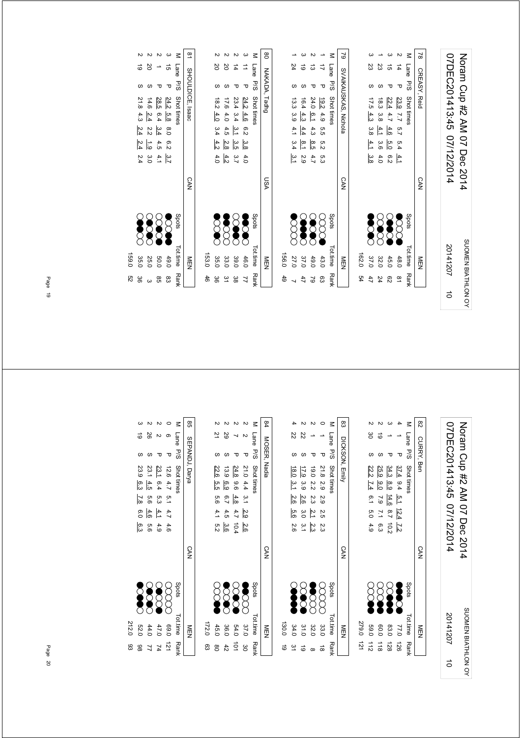|               | NEN           |             | <b>CAN</b> | SVAIKAUSKAS, Nichola                            | 62        |
|---------------|---------------|-------------|------------|-------------------------------------------------|-----------|
| 54            | 162.0         |             |            |                                                 |           |
| 47            | 37.0          | <b>SCAR</b> |            | S<br>17.54.3<br>3.8<br>$\frac{4}{1}$<br>မ္မ     |           |
| 24            | 32.0          | R<br>S      |            | Σ<br>6.3<br>3.8<br>4.1<br>ပ္ပဲ<br>4.0           |           |
| 82            | 45.0          | S           |            | ີ ຕ<br>22.4<br>4.7<br>4.6<br>5.0<br>6.2         |           |
| $\frac{8}{1}$ | 48.0          | Z<br>2      |            | 4<br>π<br>23.9 7.7<br>5.7<br>5.4<br>$rac{4}{2}$ |           |
|               | Tot.time Rank | Spots       |            | Lane P/S Shot times                             | $\leq$    |
|               | NEN<br>D      |             | <b>CAN</b> | CREASY, Reid                                    | $\approx$ |

|       |                |                                                         |                                                   | $\omega$       | Ξ          | 8             |       |               |                                             |               | →       | Σ               | $\mathsf{S}$         |
|-------|----------------|---------------------------------------------------------|---------------------------------------------------|----------------|------------|---------------|-------|---------------|---------------------------------------------|---------------|---------|-----------------|----------------------|
|       | 20             | 20                                                      | 4                                                 | ⇉              | Lane       |               |       | 24            | 6                                           | ದ             | ₹       | Lane            |                      |
|       |                |                                                         | τ                                                 | τ              | 5/5        |               |       |               |                                             | ᠊ᠣ            | τ       | -<br>5/3        |                      |
|       | $\frac{18}{2}$ |                                                         | $\frac{24.2}{23.4}$ $\frac{4.6}{3.4}$<br>23.4 3.4 |                | Shot times | NAKADA, Tadhg |       | 13.3 3.9      | 16.4                                        | 24.0          | 19.24.9 | Shot times      | SVAIKAUSKAS, Nichola |
|       | 4.0            |                                                         |                                                   |                |            |               |       |               | 4.3                                         | 6.1           |         |                 |                      |
|       |                | ο ω 4 ω<br>Ο 4 ο<br>4 ο 4                               |                                                   |                |            |               |       |               | $rac{4}{3}$ $rac{4}{4}$ $rac{4}{4}$         |               | ე<br>ნ  |                 |                      |
|       |                | $\frac{3}{8}$ and $\frac{3}{8}$ and $\frac{4}{3}$       |                                                   |                |            |               |       |               | $\frac{8}{10}$ $\frac{8}{10}$ $\frac{1}{4}$ |               | 5.2     |                 |                      |
|       |                | $\frac{4}{5}$ $\frac{3}{5}$ $\frac{4}{7}$ $\frac{4}{9}$ |                                                   |                |            |               |       | $\frac{3}{1}$ | ىر<br>0                                     | 4.7           | ნ.ვ     |                 |                      |
|       |                |                                                         |                                                   |                |            | ASU           |       |               |                                             |               |         |                 | CAN                  |
|       | Š              | R                                                       | <b>CONTRACT</b>                                   | Š              | Spots      |               |       |               |                                             |               |         | Spots           |                      |
| 153.0 | 35.0           | 33.0                                                    | 39.0                                              | 46.0           | Tot.time   | MEN           | 156.0 | 27.0          | 37.0                                        | 49.0          | 43.0    | <b>Tot.time</b> | NEN                  |
| 46    | 36             | 31                                                      | 38                                                | $\overline{2}$ | Rank       |               | 49    |               | 47                                          | $\mathcal{S}$ | 63      | <b>Rank</b>     |                      |

|                  |                                    |      |                 | $\leq$        | $\frac{8}{1}$    |
|------------------|------------------------------------|------|-----------------|---------------|------------------|
| ಕ                | Β                                  |      | ີ ຕ             | Lane P/S      | SHOULDICE, Isaac |
| S                |                                    |      | τ               |               |                  |
|                  | $\frac{28.5}{14.6}$                |      | 24.2            | Shot times    |                  |
|                  | $\frac{2.4}{2.4}$                  |      |                 |               |                  |
| 21.8 4.3 2.4 2.4 | $\frac{6.4}{2.4}$ 2.4<br>5 2.4 2.2 |      | 5.8 8.0 6.2     |               |                  |
|                  | $\frac{1}{6}$                      | 4.5  |                 |               |                  |
| 5.4              | 3.0                                | 4.1  | $\frac{3.7}{2}$ |               |                  |
|                  |                                    |      |                 |               | <b>CAN</b>       |
|                  | 8888<br>8888                       |      |                 | Spots         |                  |
| 35.0             | 25.0                               | 0.03 | 49.0            | Tot.time Rank | NEN              |
| ပ္တ              | $\omega$                           | 95   | 83              |               |                  |

 $\ddot{i}$  $\mathbf{r}$  $\sim$ 35.0 36<br>159.0 52 159.0 52

> 07DEC201413:45 07/12/2014 Noram Cup #2 AM 07 Dec 2014 07DEC201413:45 07/12/2014 Noram Cup #2 AM 07 Dec 2014 SUOMEN BIATHLON OY SUOMEN BIATHLON OY 201412075

| 82     |             | CURRY, Ben |                                                           | <b>CAN</b> |                            | M<br>Mu                 |
|--------|-------------|------------|-----------------------------------------------------------|------------|----------------------------|-------------------------|
| $\leq$ | Lane<br>P/S |            | Shot times                                                |            | Spots                      | Tot.time Ran!           |
|        |             | ᠊ᠣ         | 37.4 9.4 5.1 12.4<br>$\overline{52}$                      |            | $\sum_{i=1}^{n}$           | 77.0<br>126             |
|        |             |            | 34.3<br>$\frac{8}{6}$<br>14.6<br>$\overline{6.7}$<br>10.2 |            | $\frac{8}{2}$              | 83.0<br>128             |
|        | ಠ           |            | <b>25.9</b><br>$\frac{6}{3}$<br>7.9 7.1 6.3               |            |                            | 60.0<br>$\frac{1}{8}$   |
|        | မ္တ         |            | 22.2<br>$\overline{7.4}$<br>6.1 5.0 4.9                   |            | $\breve{\bm{\mathcal{S}}}$ | 069<br>$\frac{1}{2}$    |
|        |             |            |                                                           |            |                            | 279.0<br>$\frac{12}{2}$ |

|       |                  |            |                |                         |                       | ထွ           |
|-------|------------------|------------|----------------|-------------------------|-----------------------|--------------|
|       | 22               | Z2         |                |                         | M Lane P/S Shot times |              |
|       |                  |            |                |                         |                       | DICKSON, Emi |
|       | $\frac{18.0}{2}$ | 17.9       | 19.0 2.2 2.3   |                         |                       |              |
|       | تنا              | ဖ<br>စ     |                |                         |                       |              |
|       | 2.6              | 2.6        |                | 21.8 2.9 2.9 2.5 2.3    |                       |              |
|       | 9.6              | 3.0        | $\frac{21}{2}$ |                         |                       |              |
|       | 2.6              | ى<br>د     | 23             |                         |                       |              |
|       |                  |            |                |                         |                       | <b>CAN</b>   |
|       | <b>Second</b>    | <b>200</b> | <b>SCORE</b>   | $\sum\limits_{i=1}^{n}$ | spots                 |              |
| 130.0 | 34.0             | 31.0       | 32.0           | 33.0                    | Tot.time Rank         |              |
|       |                  | ದ          |                |                         |                       |              |

|       |                      |             |             |                  |               | 84           |
|-------|----------------------|-------------|-------------|------------------|---------------|--------------|
|       | 21                   | 29          |             |                  | Lane<br>P/S   |              |
|       |                      |             |             |                  |               |              |
|       | 22.6                 | 13.9        | 24.8        |                  | Shot times    | MOSER, Nadia |
|       | ์<br>ตู              | —<br>ნე     | 96          |                  |               |              |
|       |                      | 6.7         | 4.8         | 21.0 4.4 3.1 2.9 |               |              |
|       | 5.6 4.1 5.2          | 4.5 3.6     | $4.7$ 10.4  |                  |               |              |
|       |                      |             |             | $\frac{2.6}{2}$  |               |              |
|       |                      |             |             |                  |               | <b>CAN</b>   |
|       | $\breve{\mathrm{S}}$ | <b>SCAR</b> | <b>2000</b> | Š                | Spots         |              |
| 172.0 | 45.0                 | 36.0        | 54.0        | 37.0             | Tot.time Rank | M⊡<br>D      |
| ఔ     | g                    | 42          | $\vec{a}$   | မ္မ              |               |              |

|       |          |                 |                     |                       |               | œ<br>G         |
|-------|----------|-----------------|---------------------|-----------------------|---------------|----------------|
|       |          | 88              |                     |                       | M Lane        |                |
|       |          |                 |                     | ᠊ᠣ                    | S/d           |                |
|       | 23.9 6.3 |                 | $\frac{23.1}{23.1}$ |                       | Shot times    | SEPANDJ, Darya |
|       |          | 4.5             | 6.4, 5.3            |                       |               |                |
|       | 7.8 6.0  | 9.6             |                     |                       |               |                |
|       |          | $\frac{4}{4.6}$ |                     | 12.6 4.7 5.1 4.7 4.6  |               |                |
|       | စ<br>မ   | 99              | 4.9                 |                       |               |                |
|       |          |                 |                     |                       |               | <b>CAN</b>     |
|       |          |                 | <b>888</b><br>888   | g                     | Spots         |                |
| 212.0 | 52.0     | 44.0            | 47.0                | 069                   | Tot.time Rank | NEN            |
| 83    | 86       |                 | 74                  | $\overrightarrow{21}$ |               |                |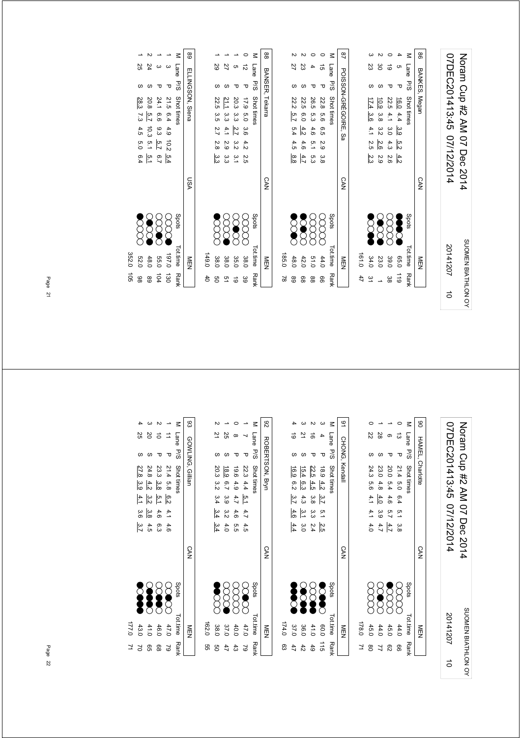| 07DEC201413:45 07/12/2014 | Noram Cup #2 AM 07 Dec 2014 |
|---------------------------|-----------------------------|
| 20141207                  | SUOMEN BIATHLON OY          |
|                           |                             |

|               | NEN           |          | <b>CAN</b> | POISSON-GREGOIRE, Sa                |                     | 48  |   |
|---------------|---------------|----------|------------|-------------------------------------|---------------------|-----|---|
| 47            | 161.0         |          |            |                                     |                     |     |   |
| $\approx$     | 34.0          | Š        |            | 17.4 3.6 4.1 2.5<br>$\frac{2.3}{3}$ |                     | 23  |   |
|               | 23.0          | <b>S</b> |            | 10.9 3.8 3.2<br>2.6<br>2.9          |                     | မ္မ |   |
| မ္က           | 39.0          | 8<br>8   |            | 22.5 4.1<br>3.O<br>4.3<br>2.6       | ᠊ᠣ                  | ಠ   |   |
| $\frac{1}{6}$ | 0.56          | Š        |            | 16.04.4339<br>$\frac{5}{3}$<br>4.2  | ᠊ᠣ                  |     |   |
|               | Tot.time Rank | Spots    |            |                                     | Lane P/S Shot times |     | z |
|               | NEN           |          | <b>CAN</b> |                                     | BANKES, Megan       |     | 8 |
|               |               |          |            |                                     |                     |     |   |

| 88              |           |              |              |              |                  | $\geq$              | $\frac{8}{4}$        |
|-----------------|-----------|--------------|--------------|--------------|------------------|---------------------|----------------------|
|                 |           | 22           | ΣS           |              | GÌ               |                     |                      |
| BANSER, Tekarra |           |              |              |              | τ                | Lane P/S Shot times | POISSON-GREGOIRE, Sa |
|                 |           |              | 22.5 6.0     |              |                  |                     |                      |
|                 |           |              |              |              |                  |                     |                      |
|                 |           | 22.2 5.7 5.4 | 4.2          | 26.5 5.3 4.6 | 22.8 5.6 6.5 2.9 |                     |                      |
|                 |           | 4.5          | 4.6          | 5.1          |                  |                     |                      |
|                 |           | ဖွဲ့         | 4.7          | ر<br>ما      | ဖိ               |                     |                      |
| <b>CAN</b>      |           |              |              |              |                  |                     | <b>CAN</b>           |
|                 |           | <b>DOOR</b>  | <b>SCCCC</b> | 8<br>8       | E                | Spots               |                      |
| NEN             | 185.0     | 48.0         | 42.0         | 0.10         | 44.0             | Tot.time Rank       | NEN                  |
|                 | $\approx$ | 89           | 88           | 88           | 99               |                     |                      |

|             |                       |          |              |                      | $\leq$              | 8                 |
|-------------|-----------------------|----------|--------------|----------------------|---------------------|-------------------|
|             | 29                    |          | Cη           | ಸ                    | Lane P/S Shot times |                   |
|             | ပ                     | ഗ        |              | τ                    |                     |                   |
|             | 22.5 3.5              | 21.1 3.3 | 20.3 3.3     |                      |                     | DAINOLA' I EKSILS |
|             |                       |          |              |                      |                     |                   |
|             | 2.7 2.8 3.3           | 4.1      | 2.7          | 17.9 5.0 3.6 4.2 2.5 |                     |                   |
|             |                       |          |              |                      |                     |                   |
|             |                       | 2.9 3.3  | $3.2 \, 3.1$ |                      |                     |                   |
|             |                       |          |              |                      |                     | v.<br>NN          |
|             | $\sum_{i=1}^{\infty}$ | 8<br>8   | <b>SCC</b>   | E                    | Spots               |                   |
| 0.041       | 38.0                  | 38.0     | 35.0         | 38.0                 | Totilme<br>Rank     | NEIN              |
| $rac{4}{5}$ | g                     | 91       | $\vec{0}$    | ဖိ                   |                     |                   |

|                      |              |                  |                       |                | 89              |
|----------------------|--------------|------------------|-----------------------|----------------|-----------------|
| 25                   | 24           |                  |                       | M Lane         |                 |
| ળ                    | S            |                  | ᠊ᠣ                    |                |                 |
|                      | 20.8 5.7     |                  |                       | P/S Shot times | ELINGSON, Siene |
|                      |              |                  |                       |                |                 |
| 28.3 7.3 4.5 5.0 6.4 | 10.3 5.1 5.1 | 24.1 6.6 9.3 5.7 | 21.5 6.4 4.9 10.2 5.4 |                |                 |
|                      |              |                  |                       |                |                 |
|                      |              | $\overline{6.7}$ |                       |                |                 |
|                      |              |                  |                       |                | VSN             |
|                      |              | 88<br>88         | 88                    | Spots          |                 |
| <b>52.0</b>          | 48.0         | 55.0             | 0'261                 | Totime Rank    |                 |
| 86                   | 68           | 104              | 130                   |                |                 |

32.0

105

Noram Cup #2 AM 07 Dec 2014<br>07DEC201413:45 07/12/2014 07DEC201413:45 07/12/2014 Noram Cup #2 AM 07 Dec 2014 SUOMEN BIATHLON OY 20141207 SUOMEN BIATHLON OY 20141207

 $\vec{a}$ 

|    | $\vdots$      |            | $\frac{1}{2}$ |     |                      |        |     | こうこうこうこう                |   |        | $\mathbf{r}$ |
|----|---------------|------------|---------------|-----|----------------------|--------|-----|-------------------------|---|--------|--------------|
|    |               |            |               |     |                      |        |     |                         |   |        |              |
| ュ  | 178.0         |            |               |     |                      |        |     |                         |   |        |              |
| 80 | 45.0          | 8<br>8     |               |     | $4.1$ $4.1$ $4.1$    |        |     | 24.3 5.6                |   | Z2     |              |
|    | 44.0          | <b>SCC</b> |               | 4.7 | ပ<br>၁၀              | $-4.0$ |     | 23.0 4.8                |   | 28     |              |
| 82 | 45.0          |            |               | 4.7 | 5.7                  | 4.6    | 5.4 | 20.0                    |   |        |              |
| 8  | 44.0          | 88         |               |     | 21.4 5.0 6.4 5.1 3.8 |        |     |                         | τ | ದ      |              |
|    | Tot.time Rank | Spots      |               |     |                      |        |     | P/S Shot times          |   | M Lane |              |
|    | NEN           |            | <b>CAN</b>    |     |                      |        |     | <b>HAMEL, Charlotte</b> |   |        | g            |
|    |               |            |               |     |                      |        |     |                         |   |        |              |

|       |                |             |                |                 |            | ဇ              |
|-------|----------------|-------------|----------------|-----------------|------------|----------------|
|       |                |             |                |                 | Lane P/S   |                |
|       | S              |             |                | ᠊ᠣ              |            |                |
|       | 16.9<br>"<br>გ | 15.4<br>စ္ပ | 22.5           | $18.9$ $4.2$    | Shot times | CHONG, Kendall |
|       |                |             | 4.5            |                 |            |                |
|       | 3.7            | 4.3         | 3.8            | $\frac{3.7}{7}$ |            |                |
|       | 4.6            | ت           | ي<br>ن         |                 |            |                |
|       | 4.4            | öς          | 2.4            | 5.1 2.5         |            |                |
|       |                |             |                |                 |            | SAN            |
|       | <b>Second</b>  | <b>SOO</b>  | 8<br>2         | Š               | Spots      |                |
| 174.0 | 37.0           | 36.0        | 41.0           | 0.09            | Tot.time   | ī              |
| සි    | 47             | 42          | 6 <sup>4</sup> | $\frac{1}{5}$   | Rank       |                |

|       | 2                    | 25               | $^\alpha$        |              | z             | 82              |
|-------|----------------------|------------------|------------------|--------------|---------------|-----------------|
|       |                      |                  |                  | ᠊ᠣ           | Lane<br>P/S   | ROBERTSON, Bryn |
|       | 20.3 3.2 3.4 3.4 3.4 |                  |                  |              | Shot times    |                 |
|       |                      |                  |                  |              |               |                 |
|       |                      | 18.9 6.7 3.9 3.2 | 19.6 4.9 4.7 4.6 | 22.3 4.4 5.1 |               |                 |
|       |                      |                  |                  | 4.7          |               |                 |
|       |                      | 4.0              | თ<br>თ           | 4.5          |               |                 |
|       |                      |                  |                  |              |               | <b>CAN</b>      |
|       | Š                    | 8<br>8           | 8<br>Rooc        | <b>SCC</b>   | spots         |                 |
| 162.0 | 38.0                 | 37.0             | 40.0             | 47.0         | Tot time Rank | NEN<br>EN       |
| 9g    | ၛၟ                   | 47               | 43               | 2            |               |                 |

|       |                   |                                           |            |               | ౾             | 8                |
|-------|-------------------|-------------------------------------------|------------|---------------|---------------|------------------|
|       | 25                | SO                                        |            |               | Lane          |                  |
|       |                   |                                           |            | Δ             | <b>P/S</b>    |                  |
|       | 27.8              | $\frac{23.3}{24.8} \cdot \frac{3.8}{4.2}$ |            | 21.4 5.8      | Shot times    | GOWLING, Gillian |
|       | $\frac{3.9}{3.9}$ |                                           |            |               |               |                  |
|       | $4.1$ 3.6         | $\frac{3.2}{2}$                           | 5.1        | $\frac{1}{2}$ |               |                  |
|       |                   | 3.8                                       | 4.6 6.3    | $4.1$ 4.6     |               |                  |
|       | 3.7               | 4.5                                       |            |               |               |                  |
|       |                   |                                           |            |               |               | <b>CAN</b>       |
|       |                   |                                           | <b>228</b> | $\infty$      | Spots         |                  |
|       |                   |                                           |            |               |               |                  |
| 0:221 | 43.0              | 41.0                                      | 10.0       | 47.0          | Tot.time Rank | NEN              |
| ュ     |                   | ၛၟ                                        | 88         | 2             |               |                  |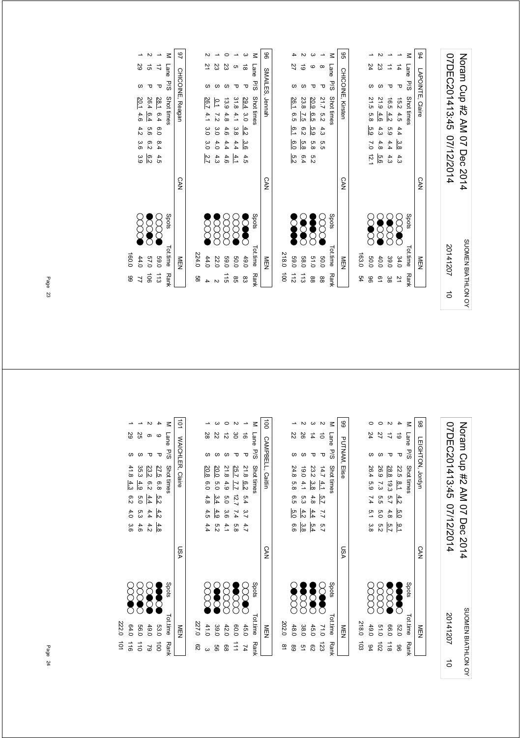| 96              |           |                  |               |               |                  | $\leq$              | 9S                       |
|-----------------|-----------|------------------|---------------|---------------|------------------|---------------------|--------------------------|
|                 |           | 22               | ಠ             |               |                  |                     |                          |
|                 |           |                  |               |               | τ                |                     |                          |
| SMAILES, Jennah |           |                  |               |               |                  | Lane P/S Shot times | <b>CHICOINE, Kirsten</b> |
|                 |           |                  |               |               |                  |                     |                          |
|                 |           | 26.1 6.5 6.1 6.0 | 23.8 7.5 6.2  | 20.9 6.5 5.9  | 21.7 5.2 4.3 5.5 |                     |                          |
|                 |           |                  | 5.8           | 5.8           |                  |                     |                          |
|                 |           | ra<br>N          | 6.4           | n<br>N        |                  |                     |                          |
| <b>CAN</b>      |           |                  |               |               |                  |                     | <b>CAN</b>               |
|                 |           | Š                | <b>SOOC</b>   | <b>Second</b> | ECC              | Spots               |                          |
| NEN<br>E        | 218.0 100 | 069              | 58.0          | 51.0          | 0.06             | Totitime Rank       | MEN                      |
|                 |           | $\frac{1}{2}$    | $\frac{1}{3}$ | 88            | 88               |                     |                          |

|       |              |               |               |         |               |                     | 86              |
|-------|--------------|---------------|---------------|---------|---------------|---------------------|-----------------|
|       | 21           | 23            | 23            |         | ಹ             |                     |                 |
|       |              |               |               |         |               |                     |                 |
|       |              |               |               |         | ᠊ᠣ            |                     |                 |
|       | 26.7         | $\frac{1}{2}$ |               | 31.84.1 | 29.4 3.0      | Lane P/S Shot times | SMAILES, Jennah |
|       | 4.1          | - 7.2         |               |         |               |                     |                 |
|       |              |               |               |         |               |                     |                 |
|       |              |               | 13.9 4.8 4.6  | ပ္ပ     | $rac{4.2}{3}$ |                     |                 |
|       | 3.0 3.0 2.7  | 3.040         | 4.4.7         | 4.4     | .<br>ვ.ნ      |                     |                 |
|       |              | 4.3           | $+ 4.6$       | 4.1     | 4.5           |                     |                 |
|       |              |               |               |         |               |                     |                 |
|       |              |               |               |         |               |                     |                 |
|       |              |               |               |         |               |                     | <b>CAN</b>      |
|       |              |               |               |         |               |                     |                 |
|       |              |               |               |         |               |                     |                 |
|       |              |               |               | 8<br>8  |               | Spots               |                 |
|       | $\bigotimes$ |               |               |         | Š             |                     |                 |
|       |              |               |               |         |               |                     |                 |
|       |              |               |               |         |               |                     |                 |
| 224.0 | 44.0         | 22.0          | <b>59.0</b>   | 0.05    | 49.0          | Tot.time            | MEN<br>N        |
|       |              |               |               |         |               |                     |                 |
| 9g    |              |               | $\frac{1}{5}$ | 98      | ထိ            | <b>Rank</b>         |                 |
|       |              |               |               |         |               |                     |                 |

|       |             | N                    |               |               | 46               |
|-------|-------------|----------------------|---------------|---------------|------------------|
|       | 59          | g)                   |               |               |                  |
|       | S           |                      | ᠊ᠣ            | M Lane P/S    | CHICOINE, Reagar |
|       | 20.1        | 26.4                 | 28.1          | Shot times    |                  |
|       | 4.6         | 6.4                  | 6.4 6.0       |               |                  |
|       | 4.2 3.6 3.9 | 99                   |               |               |                  |
|       |             | e.2                  | 8.444.5       |               |                  |
|       |             | თ<br> ა              |               |               |                  |
|       |             |                      |               |               | <b>CAN</b>       |
|       | 8<br>8      | <b>SOOK</b>          | 888           | Spots         |                  |
| 160.0 | 44.0        | 0'29                 | 0.69          | Tot.time Rank | ≧型               |
| 88    |             | $\overrightarrow{5}$ | $\frac{1}{3}$ |               |                  |

Noram Cup #2 AM 07 Dec 2014<br>07DEC201413:45 07/12/2014 07DEC201413:45 07/12/2014 Noram Cup #2 AM 07 Dec 2014 SUOMEN BIATHLON OY SUOMEN BIATHLON OY 201412075

| 103                  | 218.0         |               |            |         |     |  |                      |    |    |        |
|----------------------|---------------|---------------|------------|---------|-----|--|----------------------|----|----|--------|
| 84                   | 49.0          | g<br>8        |            |         |     |  | 26.4 5.9 7.4 5.1 3.8 |    | 24 |        |
| $\overrightarrow{c}$ | 0.15          | 8<br>8        |            |         |     |  | 26.9 7.3 5.5 5.0 5.2 |    | 22 |        |
| $\frac{1}{8}$        | 0.99          | SSS           |            | 5.7     |     |  | 28.8 19.3 5.7 4.8    | ᠊ᠣ |    |        |
| 96                   | 52.0          | <b>Second</b> |            | ە<br>1- | 5.0 |  | 22.5 8.1 4.2         | ᠊ᠣ | ಠ  |        |
|                      | Tot.time Rank | spots         |            |         |     |  | Lane P/S Shot times  |    |    | $\leq$ |
|                      | NEN           |               | <b>CAN</b> |         |     |  | LEIGHTON, Jordyn     |    |    | 86     |

|       |          |         |              |                    |             | 8        |
|-------|----------|---------|--------------|--------------------|-------------|----------|
|       | Z2       | 88      |              |                    | Lane P/S    |          |
|       |          |         | ᠊ᠣ           | ᠊ᠣ                 |             |          |
|       | 24.8 5.8 | 19.0    | 23.2<br>ဖွဲ့ | $14.7$ $4.1$ $5.7$ | Shot times  | d. Elise |
|       | .<br>თ   | 4.1 5.3 | 4.8          |                    |             |          |
|       | ს<br>სე  | 4.2     | 4.4          | 7.7 5.7            |             |          |
|       | 9.9      | ပ္ပ     | 5.4          |                    |             |          |
|       |          |         |              |                    |             | VSN      |
|       | <b>S</b> |         | <b>88</b>    | X                  | Spots       |          |
| 202.0 | 48.0     | 38.0    | 45.0         | 110                | Tot.time    |          |
| ≌     | 8        | ă       | 82           | 123                | <b>Rank</b> |          |

| ద్రి        | 227.0                 |            |             |                                    |                                              |                   |          |      |                      |
|-------------|-----------------------|------------|-------------|------------------------------------|----------------------------------------------|-------------------|----------|------|----------------------|
|             | 8<br>41.0             |            | 4.5<br>4.4  | 4.8                                | 0.0                                          | 20.8              |          | 28   |                      |
| 99          | <b>Second</b><br>39.0 |            | 5.2         | $\frac{3.4}{4}$<br>$\frac{4.9}{9}$ | 6.0                                          | 20.0              |          | Z2   |                      |
| 88          | g<br>42.0             |            | 4.1         |                                    |                                              | 21.8 4.9 5.0 3.6  |          | ನ    |                      |
| $\vec{=}$   | <b>S</b><br>0.09      |            | o<br>8      | $12.7$ 7.4                         | $\overline{L}$ $\overline{L}$ $\overline{T}$ | 25.7              |          | မ္မ  |                      |
| 74          | ECC<br>45.0           |            | 5.4 3.7 4.7 |                                    |                                              | 21.8 6.2          | τ        | ಹೆ   |                      |
| <b>Rank</b> | spots<br>Tot.time     |            |             |                                    |                                              | Shot times        | s<br>P/S | Lane |                      |
|             | NEN                   | <b>CAN</b> |             |                                    |                                              | CAMPBELL, Caitlin |          |      | $\overrightarrow{0}$ |

| 25                    |                        |                 |               | $\leq$      | $\overline{5}$          |
|-----------------------|------------------------|-----------------|---------------|-------------|-------------------------|
|                       |                        |                 | τ             | Lane P/S    |                         |
| 41.8 4.3              | 35.3<br>$-4.9$         | 23.2<br>.<br>გუ | 27.5 6.8 5.2  | Shot times  | <b>WAICHLER, Claire</b> |
| $6.2$ 4.0 3.6         | 5.0                    | 4.4             |               |             |                         |
|                       | 5.3                    | 4.4             | 4.2           |             |                         |
|                       | 4.6                    | 4.2             | $rac{4.8}{8}$ |             |                         |
|                       |                        |                 |               |             | VSN                     |
| $\sum_{i=1}^{\infty}$ |                        |                 | Š             | Spots       |                         |
| 64.0                  | 0.99                   | 49.0            | 53.0          | Tot.time    | 三四                      |
| $\frac{1}{10}$        | $\overrightarrow{110}$ | 2               | $\vec{a}$     | <b>Rank</b> |                         |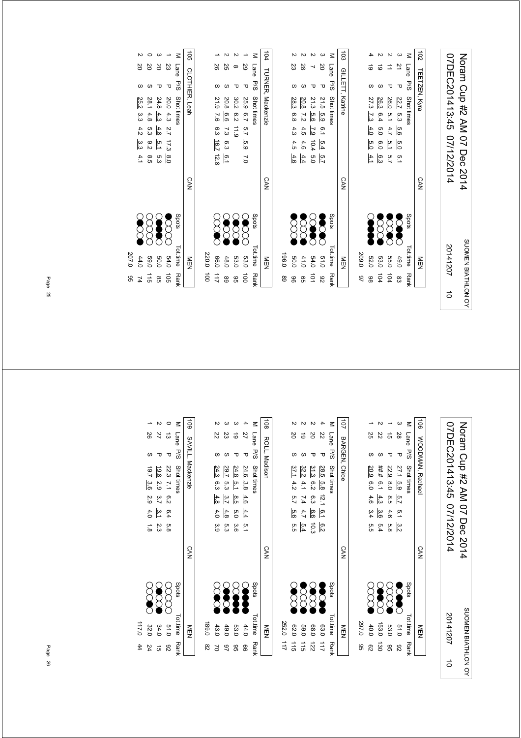| 07DEC201413:45 07/12/2014 | Noram Cup #2 AM 07 Dec 2014 |
|---------------------------|-----------------------------|
| 20141207                  | SUOMEN BIATHLON OY          |
|                           |                             |

| <b>CAN</b>                                                               | 103 GILLETT, Katrine |                      |
|--------------------------------------------------------------------------|----------------------|----------------------|
|                                                                          |                      |                      |
|                                                                          |                      |                      |
| 27.3<br>7.340<br>60<br>4.1                                               | ಠ                    |                      |
| 26.3<br>6.4<br>0.0<br>6.0<br>က္ပြ                                        | ಠ                    |                      |
| 26.0<br>5.1<br>4.7<br>$\overline{5.1}$<br>$\overline{5.7}$<br><b>SSS</b> |                      |                      |
| 22.7<br>5.3<br>9.6<br>$\overline{6.0}$<br>$\frac{1}{2}$<br><b>Second</b> | 21<br>Δ              |                      |
| Shot times<br>Spots                                                      | Lane                 |                      |
| <b>CAN</b>                                                               |                      | $\overrightarrow{0}$ |
|                                                                          |                      | TEETZEN, Kyra<br>P/S |

|                       |       |                  |          |                      |                  | $\leq$              |                      |
|-----------------------|-------|------------------|----------|----------------------|------------------|---------------------|----------------------|
| 104 TURNER, Mackenzie |       | ΣS               | 28       |                      | 20               | Lane P/S Shot times | 103 GILLETT, Katrine |
|                       |       |                  |          |                      | τ                |                     |                      |
|                       |       | 28.3 6.8 4.3 4.5 | 20.8 7.2 | 21.3 5.6             | 21.5 5.9 6.1 5.4 |                     |                      |
|                       |       |                  |          |                      |                  |                     |                      |
|                       |       |                  | $4.5$    | 7.9 10.4             |                  |                     |                      |
|                       |       |                  | 4.6      |                      |                  |                     |                      |
|                       |       | 4.6              | 4.4      | .<br>ס'ס             | $\frac{5}{12}$   |                     |                      |
| <b>CAN</b>            |       |                  |          |                      |                  |                     | <b>CAN</b>           |
|                       |       | 2<br>2           | <b>Z</b> | <b>SOOR</b>          | <b>Second</b>    | Spots               |                      |
| NEN                   | 0.961 | 0.05             | 41.0     | 54.0                 | 0.15             | Tot.time Rank       | NEN                  |
|                       | 89    | 96               | 95       | $\overrightarrow{0}$ | 82               |                     |                      |

|  | 104 TURNER, Mackenzie |   |                        |             |  | CAN |             | 市             |                       |
|--|-----------------------|---|------------------------|-------------|--|-----|-------------|---------------|-----------------------|
|  | M Lane P/S Shot tines |   |                        |             |  |     | Spots       | Tot.time Rank |                       |
|  | 29                    | τ | 25.9 6.7 5.7 5.9 7.0   |             |  |     | <b>SOC</b>  | 53.0          | $\overrightarrow{0}$  |
|  |                       |   | 30.2 6.2 11.9          |             |  |     | <b>SOOO</b> | 53.0          | GG                    |
|  | 25                    |   | 20.8 6.6               | 7.3 6.3 6.1 |  |     | <b>SSS</b>  | 48.0          | 89                    |
|  | 58                    |   | 21.9 7.6 6.3 16.7 12.8 |             |  |     | $\infty$    | 0.99          | $\overrightarrow{11}$ |
|  |                       |   |                        |             |  |     |             | 220.0 100     |                       |
|  |                       |   |                        |             |  |     |             |               |                       |

|       |              |        |         |                       |               | $-105$                |
|-------|--------------|--------|---------|-----------------------|---------------|-----------------------|
|       | 2Q           | 20     |         | 23                    | M Lane        |                       |
|       | S            |        |         | ᠊ᠣ                    | P/5           |                       |
|       | 25.2         | 28.1   | 24.8    |                       | Shot times    | <b>CLOTHIER, Lear</b> |
|       | .<br>ین<br>ن | 4.8    | 4.3     |                       |               |                       |
|       | $4.2 \, 3.3$ | ი<br>ვ | 4.8     | 20.0 4.3 2.7 17.3 8.0 |               |                       |
|       |              | 9.28.5 | 5.1 5.3 |                       |               |                       |
|       | 4.1          |        |         |                       |               |                       |
|       |              |        |         |                       |               | <b>CAN</b>            |
|       | <b>SSS</b>   |        | 3888    |                       | Spots         |                       |
| 207.0 | 44.0         | 0'69   | 0.03    | 54.0                  | Tot.time Rank | 贡                     |
| 95    | 74           | 115    | 95      | 105                   |               |                       |

Noram Cup #2 AM 07 Dec 2014<br>07DEC201413:45 07/12/2014 07DEC201413:45 07/12/2014 Noram Cup #2 AM 07 Dec 2014 SUOMEN BIATHLON OY 20141207 SUOMEN BIATHLON OY 20141207 $\vec{a}$ 

| $\vec{5}$ |      |   | <b>WOODMAN, Rachae</b> |             |           |          | <b>CAN</b> |               | 츠<br>모   |      |
|-----------|------|---|------------------------|-------------|-----------|----------|------------|---------------|----------|------|
|           |      |   | M Lane P/S Shottimes   |             |           |          |            | Spots         | Tot.time | Rank |
|           | 28   | τ | 27.1 5.9               | 5.7         | $5.1$ 3.2 |          |            | <b>Second</b> | 0.15     | 82   |
|           | ี่ต่ |   | 22.9 8.0 8.5 4.6       |             |           | ი<br>გ.მ |            |               | 53.0     | 96   |
|           | ZZ   |   | ###<br>6.14.3          |             | 3.6       | 5.4      |            | <b>Seco</b>   | 153.0    | 130  |
|           | 25   |   | 20.9<br>0.60           | 4.6 3.4 5.5 |           |          |            | ğ             | 40.0     | ౭    |
|           |      |   |                        |             |           |          |            |               | 297.0    | 95   |
|           |      |   |                        |             |           |          |            |               |          |      |

|               |               |               |                 |               |                   | $\vec{a}$     |
|---------------|---------------|---------------|-----------------|---------------|-------------------|---------------|
|               | δ             | ಠ             |                 | Z2            | Lane P/S          |               |
|               |               |               |                 |               |                   |               |
|               | 37.1<br>4.2   | 32.2<br>4.1   | 31.3<br>6.2     | 28.5          | Shot times        | BARGEN, Chloe |
|               | 5.7           | 7.4           | 6.3             | 5.8 12.1 6.1  |                   |               |
|               | ပ္ပ<br>(၁     | 4.7           | 9.9             |               |                   |               |
|               | თ<br>თ        | 5.4           | $\overline{10}$ | დ.<br>ს       |                   |               |
|               |               |               |                 |               |                   | CAN           |
|               | <b>SS</b>     | SS            | $\infty$        | Š             | stod <sub>S</sub> |               |
| 252.0         | 02.0          | 069           | 08.0            | 63.0          | Tot.time          | ヮ             |
| $\frac{1}{2}$ | $\frac{1}{5}$ | $\frac{1}{5}$ | 122             | $\frac{1}{2}$ | Rank              |               |

| Spots           |
|-----------------|
| <b>Separate</b> |
| <b>SE</b>       |
| <b>SOL</b>      |
| <b>200</b>      |
|                 |
|                 |

|                | 82        | 22            | ಹ            | M Lane            | 109 SAVILL, Mackenzie |
|----------------|-----------|---------------|--------------|-------------------|-----------------------|
|                |           |               | τ            | s<br>Sd           |                       |
|                | 19.7 3.6  | 19.8          |              | Shot times        |                       |
|                |           | $\frac{2}{3}$ | 22.3 7.1 6.2 |                   |                       |
|                | 2.9       | $\frac{3}{7}$ |              |                   |                       |
|                | $4.0$ 1.8 | ن<br>عا       | 6.4 5.8      |                   |                       |
|                |           | 23            |              |                   |                       |
|                |           |               |              |                   | <b>CAN</b>            |
|                | $\infty$  | SOO           | XX           | stod <sub>S</sub> |                       |
| 117.0          | 32.0      | 34.0          | 0.10         | Tot.time Rank     | NEN                   |
| $\frac{44}{4}$ | 24        | ਰੇ<br>ਹ       | 82           |                   |                       |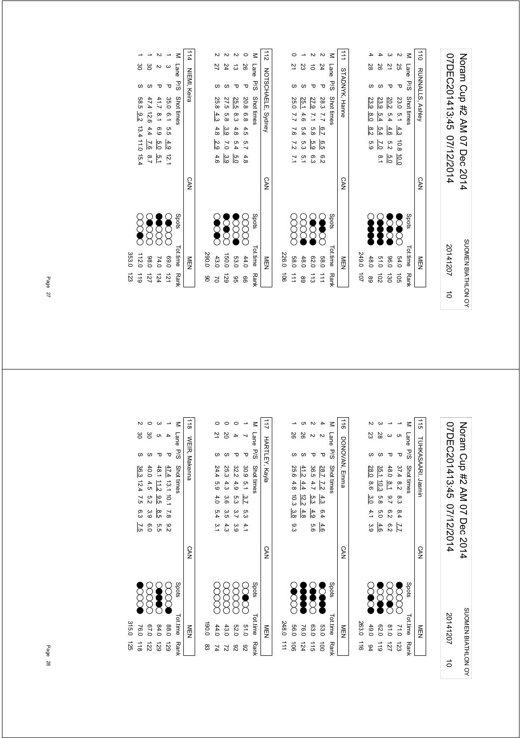| 07DEC201413:45 07/12/2014<br>20141207 | Noram Cup #2 AM 07 Dec 2014<br>SUOMEN BIATHLON OY |  |
|---------------------------------------|---------------------------------------------------|--|
| ಕ                                     |                                                   |  |

|                 |                     |          |          | ζ               | $\frac{1}{2}$      |               |                       |      |                    | N                     | z               | $\vec{=}$             |
|-----------------|---------------------|----------|----------|-----------------|--------------------|---------------|-----------------------|------|--------------------|-----------------------|-----------------|-----------------------|
| 27              | 24                  | ದ        | 92       | Lane            |                    |               | $\overline{2}$        | 23   | ਠੇ                 | 24                    | Lane            |                       |
|                 |                     |          | ᠊ᠣ       | <b>P/S</b>      |                    |               |                       |      |                    | ᠊ᠣ                    | 5/d             |                       |
| 25.8 4.3        | 27.5                | 25.5 8.3 | 20.8 6.8 | Shot times      | NOTSCHAELE, Sydney |               | 25.0                  | 25.1 | 27.9               | 28.3 7.7              | Shot times      | <b>STADNYK, Hanne</b> |
|                 | 6.8                 |          |          |                 |                    |               | 22                    | 4.6  | 12.7               |                       |                 |                       |
| 4.8             | 3.9                 | $4.8$    | 4.5      |                 |                    |               | 7.6                   | 5.4  | 8.8                | $2^{19}$              |                 |                       |
| $\frac{2.9}{2}$ | 0 <sub>2</sub>      | 5.4      | 5.7      |                 |                    |               | 7.2                   | 5.3  | ი<br>მ             | 6.5                   |                 |                       |
| 4.6             | ပ္ပ                 | Б.О      | 4.8      |                 |                    |               | $\overline{7.1}$      | 5.1  | 6.3                | 6.2                   |                 |                       |
|                 |                     |          |          |                 | <b>CAN</b>         |               |                       |      |                    |                       |                 | <b>CAN</b>            |
| <b>SCARGE</b>   | 8<br>$\sum_{i=1}^n$ | Õ        |          | Spots           |                    |               |                       |      | $\widetilde{\chi}$ |                       | Spots           |                       |
| 43.0            | 150.0               | 53.0     | 44.0     | <b>Tot.time</b> | NEN                | 226.0         | <b>58.0</b>           | 48.0 | 070                | 083                   | <b>Tot.time</b> | NEN                   |
| $\geq$          | 671                 | 9G       | 99       | <b>Rank</b>     |                    | $\frac{1}{9}$ | $\overrightarrow{11}$ | 68   | $\frac{1}{3}$      | $\overrightarrow{11}$ | <b>Rank</b>     |                       |

|                         |                  |                 |            | Μ                    | 114          |       |            |                |         |          |
|-------------------------|------------------|-----------------|------------|----------------------|--------------|-------|------------|----------------|---------|----------|
| ဗ္တ                     | မ္မ              | N               | ω          | Lane P/S             |              |       | 21         | 24             | ಪ       | 92       |
|                         |                  |                 | ᠊ᠣ         |                      | NIEMI, Keira |       |            |                |         | ᠊ᠣ       |
| 58.5 9.2 13.4 11.0 15.4 | 47.4 12.6        | 41.7 8.1        | 35.0 6.1   | Shot times           |              |       | 25.8       | 27.5           | 25.5    | 20.8 6.8 |
|                         |                  |                 |            |                      |              |       | 4.3        | 5.8            | ဖ<br>ပ  |          |
|                         | 4.4              | 6.9             | 5.5        |                      |              |       | 4.8        | 3.9            | 4.8     | 4.5      |
|                         | $\overline{2.6}$ | $rac{4.9}{5.0}$ |            |                      |              |       | 2.9        | $\overline{0}$ | 5.4     | 5.7      |
|                         | $\frac{5.1}{7}$  |                 | 12.1       |                      |              |       | 4.6        | 3.9            | р.<br>О | 4.8      |
|                         |                  |                 |            |                      | <b>CAN</b>   |       |            |                |         |          |
| <b>SCOOR</b>            |                  | <b>SCCCC</b>    | <b>SCC</b> | Spots                |              |       | <b>SCR</b> | <b>Second</b>  | E       |          |
| 112.0                   | 08.0             | 74.0            | 0.69       | <b>Fot.time Rank</b> | NEN          | 290.0 | 43.0       | 150.0          | 53.0    | 44.0     |
| $\frac{1}{6}$           | 127              | 124             | 121        |                      |              | g     | Σ          | 671            | 95      | ႙ၟ       |

33.0

123

07DEC201413:45 07/12/2014 Noram Cup #2 AM 07 Dec 2014 07DEC201413:45 07/12/2014 TIHKASAARI .is TUHKASAARI, Jasmin CAN<br>Z 20141207N<br>EN<br>E

SUOMEN BIATHLON OY

SUOMEN BIATHLON OY

5

Noram Cup #2 AM 07 Dec 2014

|             |                                                 |                          |                    | ₹                                        | $\frac{115}{115}$                  |
|-------------|-------------------------------------------------|--------------------------|--------------------|------------------------------------------|------------------------------------|
| ΣS          | 28                                              |                          |                    | Lane                                     |                                    |
|             |                                                 |                          |                    |                                          |                                    |
|             |                                                 |                          |                    |                                          | TUHKASAARI, Jasmir                 |
|             | 10.3                                            |                          |                    |                                          |                                    |
|             |                                                 | 2.7                      |                    |                                          |                                    |
|             |                                                 | ო<br>ს                   |                    |                                          |                                    |
|             | 4.6                                             |                          |                    |                                          |                                    |
|             |                                                 |                          |                    |                                          | <b>CAN</b>                         |
| <b>2000</b> | 2<br>2                                          | <b>SCOC</b>              |                    | Spots                                    |                                    |
| 49.0        | 62.0                                            | 0.18                     | 21.0               |                                          | NEN                                |
| 94          | $\frac{1}{6}$                                   | 127                      | 123                |                                          |                                    |
|             | 28.0<br>8.6<br>$\frac{3.0}{3}$<br>4.1<br>ن<br>6 | 35.1<br>ი<br>ფ<br>ი<br>0 | 48.0 8.1<br>ი<br>ა | 37.4 8.2 8.3 8.4<br>$\overline{11}$<br>S | P/S<br>Shot times<br>Tot.time Ranl |

|               |                      |         |               |                  |             | $\frac{1}{9}$ |
|---------------|----------------------|---------|---------------|------------------|-------------|---------------|
|               | 26                   |         |               |                  | Lane        |               |
|               |                      |         |               |                  | 5/5         |               |
|               | 25.6                 | 41.2    | 36.5          | 28.7 7.2 4.3 6.4 | Shot times  | DONOVAN, Emma |
|               | 4.8                  | 4.4     | 4.7           |                  |             |               |
|               | 10.3                 | $-12.2$ | 5.34.9        |                  |             |               |
|               | ن<br>8<br>80         | 4.8     |               |                  |             |               |
|               | ن<br>ن               |         | თ<br>თ        | 4.6              |             |               |
|               |                      |         |               |                  |             | <b>CAN</b>    |
|               | 8<br>S               |         |               | Ş                | spots       |               |
| 248.0         | 0.05                 | 16.0    | 03.0          | 53.0             | Tot.time    | 合型            |
| $\frac{1}{2}$ | $\overrightarrow{5}$ | 124     | $\frac{1}{5}$ | $\vec{c}$        | <b>Rank</b> |               |

|    | $\frac{1}{2}$ |        | $\frac{1}{2}$ |             |                      | $\sum_{i=1}^{N} \sum_{j=1}^{N} \sum_{j=1}^{N} \sum_{j=1}^{N} \sum_{j=1}^{N} \sum_{j=1}^{N} \sum_{j=1}^{N} \sum_{j=1}^{N} \sum_{j=1}^{N} \sum_{j=1}^{N} \sum_{j=1}^{N} \sum_{j=1}^{N} \sum_{j=1}^{N} \sum_{j=1}^{N} \sum_{j=1}^{N} \sum_{j=1}^{N} \sum_{j=1}^{N} \sum_{j=1}^{N} \sum_{j=1}^{N} \sum_{j=1}^{N} \sum_{j=1}^{N} \sum_{j=1}^{N}$ |    |            | $\frac{1}{2}$ |
|----|---------------|--------|---------------|-------------|----------------------|---------------------------------------------------------------------------------------------------------------------------------------------------------------------------------------------------------------------------------------------------------------------------------------------------------------------------------------------|----|------------|---------------|
|    |               |        |               |             |                      |                                                                                                                                                                                                                                                                                                                                             |    |            |               |
| ထွ | 190.0         |        |               |             |                      |                                                                                                                                                                                                                                                                                                                                             |    |            |               |
| 74 | 44.0          |        |               |             | 4.0 5.4 3.1          | 24.4 5.9                                                                                                                                                                                                                                                                                                                                    | ળ  | 21         |               |
| 21 | 43.0          | 8<br>8 |               | 3.6 3.5 4.3 |                      | 25.3 4.3                                                                                                                                                                                                                                                                                                                                    |    | 2Q         |               |
| 82 | 52.0          | 8<br>8 |               |             | 32.2 4.9 5.3 3.7 3.9 |                                                                                                                                                                                                                                                                                                                                             |    |            |               |
| 82 | 0.10          | E      |               |             | 30.9 5.1 3.7 5.3 4.1 |                                                                                                                                                                                                                                                                                                                                             | ᠊ᠣ |            |               |
|    | Tot.time Rank | spots  |               |             |                      | Shot times                                                                                                                                                                                                                                                                                                                                  |    | M Lane P/S |               |
|    | 三四            |        | <b>CAN</b>    |             |                      | 117 HARTLEY, Kayla                                                                                                                                                                                                                                                                                                                          |    |            |               |

| $\frac{11}{8}$<br>$\leq$ | Lane P/S | ᠊ᠣ | WEIR, Makenna<br>Shot times<br>$\frac{47.4}{13.1}$ 13.1 10.1 7.8 9.2 | <b>CAN</b> | Spots<br>8<br>8 | Tot.time Rank<br>88.0<br>三四 |
|--------------------------|----------|----|----------------------------------------------------------------------|------------|-----------------|-----------------------------|
|                          |          |    |                                                                      |            |                 |                             |
|                          |          |    | 48.1 11.2 9.5 8.5<br>ς.<br>Ο                                         |            |                 | 88<br>84.0                  |
|                          | မ္တ      |    | 40.0 4.5 5.2 3.9<br>0.0                                              |            |                 | 0.70                        |
|                          | မ္ထ      |    | 36.3 12.4 7.5 6.3 7.5                                                |            | <b>SSS</b>      | 76.0                        |
|                          |          |    |                                                                      |            |                 | $\frac{315}{2}$             |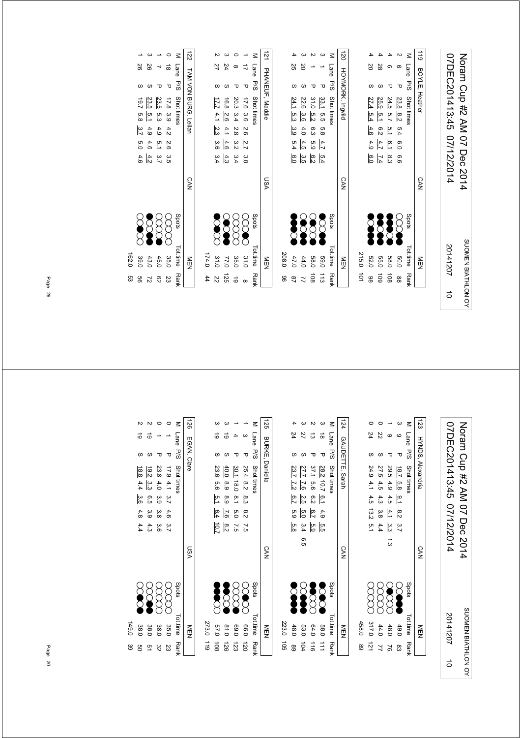| 07DEC201413:45 07/12/2014 | Noten Cup #2 AM 07 Dec 2014 |
|---------------------------|-----------------------------|
| 20141207                  | SUOMEN BIATHLON OY          |
|                           |                             |

|                  | Tot.time Rank | Spots |            |                          |     | M Lane P/S Shot tinnes |                         |             |
|------------------|---------------|-------|------------|--------------------------|-----|------------------------|-------------------------|-------------|
|                  | NEN           |       | <b>CAN</b> |                          |     |                        | <b>HOYMORK, Ingvild</b> | $\vec{120}$ |
|                  |               |       |            |                          |     |                        |                         |             |
| $\frac{1}{2}$    | 215.0         |       |            |                          |     |                        |                         |             |
| 86               | 52.0          | Š     |            | 4.9<br>$\frac{6}{10}$    | 4.6 | 27.4<br>.<br>2.4       |                         |             |
| 601              | 55.0          | Š     |            | 4.7<br>$\overline{L}$ .4 | 6.2 | 25.9<br>5.1            | 28                      |             |
| $\frac{108}{2}$  | 089           | Š     |            | 6.1<br>က<br>ကိ           | 5.1 | 24.5<br>5.7            |                         |             |
| 88               | 0.05          |       |            | ი<br>0.0<br>9.9          | 5.4 | 23.8 8.2               | σ.<br>᠊ᠣ                |             |
| Ran <del>l</del> | Tot.time      | Spots |            |                          |     | Shot times             | Lane<br><b>P</b><br>8   |             |
|                  | NEN<br>N      |       | <b>CAN</b> |                          |     |                        | 119 BOYLE, Heather      |             |
|                  |               |       |            |                          |     |                        |                         |             |

|         |                                                                                            |                                                         |          |          | Σ               | 121             |       |         |                                                                |                         | ω                                                 | Ξ           |
|---------|--------------------------------------------------------------------------------------------|---------------------------------------------------------|----------|----------|-----------------|-----------------|-------|---------|----------------------------------------------------------------|-------------------------|---------------------------------------------------|-------------|
|         | 77                                                                                         | 74                                                      | $\infty$ |          | Lane            |                 |       | 25      | 20                                                             |                         |                                                   | Lane        |
|         |                                                                                            |                                                         |          | τ        | <b>P/S</b>      |                 |       |         |                                                                |                         | Δ                                                 | <b>P/S</b>  |
|         | 17.6 3.6 $\frac{1}{20}$<br>20.3 3.4 2.<br>16.8 <u>2.6</u> 4.1<br><u>7.7</u> 4.1 <u>2.3</u> |                                                         |          |          | Shot times      | PHANEUF, Maddie |       | 24.1    |                                                                |                         | $\frac{33.1}{31.0}$ 5.5<br>31.0 $\frac{5.2}{3.6}$ | Shot times  |
|         |                                                                                            |                                                         |          |          |                 |                 |       |         | ပ္ပံု<br>၁၁                                                    |                         |                                                   |             |
|         |                                                                                            |                                                         |          |          |                 |                 |       |         | $\frac{4.0}{3.9}$                                              | 5.8<br>6. 9             |                                                   |             |
|         |                                                                                            | $\frac{2}{3}$ $\frac{3}{3}$ $\frac{4}{3}$ $\frac{4}{3}$ |          |          |                 |                 |       |         | $\frac{4.5}{5.4}$                                              | $rac{4}{5}$ $rac{5}{9}$ |                                                   |             |
|         |                                                                                            | 3 3 4 3<br>8 4 3 4                                      |          |          |                 |                 |       |         | $\frac{5}{4}$ a $\frac{6}{4}$ a $\frac{6}{10}$                 |                         |                                                   |             |
|         |                                                                                            |                                                         |          |          |                 | VSN             |       |         |                                                                |                         |                                                   |             |
|         | <b>Second</b>                                                                              | <b>SCAR</b>                                             |          |          | Spots           |                 |       | Š       | S                                                              | <b>S</b>                | 론                                                 | Spots       |
| 174.044 |                                                                                            | 35.0<br>77.0<br>31.0                                    |          | 31.0     | <b>Tot.time</b> | MEN             | 208.0 | 47.0    | 44.0                                                           | <b>58.0</b>             | <b>59.0</b>                                       | Tot.time    |
|         | 22                                                                                         | 52L                                                     | ම        | $\infty$ | Ranl            |                 | 8     | $^{28}$ | $\begin{array}{c}\n12 \\ \hline\n20 \\ \hline\n2\n\end{array}$ |                         |                                                   | <b>Rank</b> |
|         |                                                                                            |                                                         |          |          |                 |                 |       |         |                                                                |                         |                                                   |             |

|                   |                    |               |                                      |                    | $\vec{z}$                     |
|-------------------|--------------------|---------------|--------------------------------------|--------------------|-------------------------------|
| 88                | 92                 |               | ಹ                                    | Lane               |                               |
|                   |                    |               | τ                                    |                    |                               |
|                   | 23.5               | 23.5          |                                      |                    | TAM VON BURG, Leilan          |
|                   |                    |               |                                      |                    |                               |
| $\frac{3.7}{2}$   | 4.9                | 4.9           | 4.2                                  |                    |                               |
| $\overline{6}$ .0 | 4.6                |               | 0.6                                  |                    |                               |
|                   | 4.2                |               |                                      |                    |                               |
|                   |                    |               |                                      |                    | <b>CAN</b>                    |
| <b>SC</b>         | $\infty$           | 8<br>8        | S<br>S                               | Spots              |                               |
| 39.0              | 43.0               | 45.0          | 35.0                                 |                    | らア                            |
| 99                | 2                  | 82            | ΣS                                   | Rank               |                               |
|                   | 19.7<br>8.8<br>4.6 | $\frac{5}{1}$ | ro<br>ما<br>.<br>3<br>1<br>7. م<br>7 | 17.8 3.9<br>က<br>ဇ | P/S<br>Shot times<br>Tot.time |

07DEC201413:45 07/12/2014 Noram Cup #2 AM 07 Dec 2014 07DEC201413:45 07/12/2014 Noram Cup #2 AM 07 Dec 2014 SUOMEN BIATHLON OY SUOMEN BIATHLON OY 20141207

5

| 123      |      |          | HYNDS, Alexandria     |                  |  |        | <b>CAN</b> |            | ≧型       |             |
|----------|------|----------|-----------------------|------------------|--|--------|------------|------------|----------|-------------|
| $\leq$   | Lane | P/S      | Shot times            |                  |  |        |            | spots      | Tot.time | <b>Rank</b> |
|          | G    | ᠊ᠣ       |                       | 18.7 5.8 9.1 8.2 |  | 3.7    |            | <b>SEP</b> | 49.0     |             |
|          | c    |          | 29.5 4.9 4.5 4.1      |                  |  | ယ<br>ယ | د.<br>ما   | OOOOO      | 48.0     |             |
|          | Z2   | c.       | 27.5 4.5 4.3 3.8      |                  |  | 4.4    |            | gax        | 44.0     |             |
|          | 24   | S        | 24.9 4.1 4.5 13.2 5.1 |                  |  |        |            | gg         | 317.0    | $-121$      |
|          |      |          |                       |                  |  |        |            |            | 458.0    | 89          |
|          |      |          |                       |                  |  |        |            |            |          |             |
| $\vdots$ |      | $\vdots$ |                       |                  |  |        | $\vdots$   |            |          |             |

|       |                  |                  |                |                      | $\leq$         | 124             |
|-------|------------------|------------------|----------------|----------------------|----------------|-----------------|
|       | 24               | 22               | ದ              | $\vec{8}$            | Lane           |                 |
|       |                  |                  |                |                      |                |                 |
|       | 23.7             | 27.7             | 37.1 5.6 6.2   | 28.2 10.7            | P/S Shot times | GAUDETTE, Sarah |
|       | $\overline{2}$   | $\overline{2.6}$ |                |                      |                |                 |
|       | $\frac{6.7}{10}$ | .<br>2.5         |                | 6.14.9               |                |                 |
|       | 5.9              | ი<br>ნ           | e.7            |                      |                |                 |
|       | ပ်<br>(၁         | 3.4              | ო<br>დ         | n<br>S               |                |                 |
|       |                  | თ.<br>ნ          |                |                      |                | CAN             |
|       | <b>DOM</b>       | S                | <b>Section</b> | <b>SOC</b>           | spots          |                 |
| 223.0 | 48.0             | 53.0             | 64.0           | <b>58.0</b>          | Tot.time Rank  | ルラン             |
| ີລ    | 89               | 104              | $\frac{1}{16}$ | $\overrightarrow{=}$ |                |                 |

| $-125$ | <b>BURKE, Daniella</b> |                   |         |                  |                 |               | <b>CAN</b> |               | NEN<br>EN     |                 |
|--------|------------------------|-------------------|---------|------------------|-----------------|---------------|------------|---------------|---------------|-----------------|
| z      | Lane P/S Shot times    |                   |         |                  |                 |               |            | Spots         | Tot.time Rank |                 |
|        |                        | 25.4 8.2 8.3 8.2  |         |                  |                 | 7.5           |            | <b>SOC</b>    | 0.99          | 120             |
|        |                        | 30.1 18.0 8.1 5.0 |         |                  |                 | $\frac{1}{2}$ |            | 8<br>8        | 0.69          | $\overline{23}$ |
|        |                        | 40.0              | 8.9 8.9 |                  | $\frac{7.6}{1}$ | 8.2           |            | <b>Second</b> | 0.18          | 126             |
|        | ಕ                      |                   |         | 23.6 5.6 5.1 6.4 |                 | 10.7          |            | <b>Second</b> | 0'49          | $\frac{10}{8}$  |
|        |                        |                   |         |                  |                 |               |            |               | 273.0 119     |                 |
|        |                        |                   |         |                  |                 |               |            |               |               |                 |

|       |                 |         |          |                      | $\leq$        | $\frac{20}{20}$ |
|-------|-----------------|---------|----------|----------------------|---------------|-----------------|
|       |                 |         |          |                      | Lane          |                 |
|       |                 | S       | ᠊ᠣ       | Δ                    | <b>P/S</b>    | EGAN, Clare     |
|       | 18.8            | 19.2    | 23.8 4.0 |                      | Shot times    |                 |
|       | $\frac{4.4}{4}$ | ین<br>ن |          |                      |               |                 |
|       | 3.6             | 6.5 3.9 | 3.9 3.8  |                      |               |                 |
|       | 4.8             |         |          | 17.9 4.1 3.7 4.6 3.7 |               |                 |
|       | 4.4             | 4.3     | .<br>ან  |                      |               |                 |
|       |                 |         |          |                      |               | VSN             |
|       |                 |         |          | XXX                  | Spots         |                 |
| 149.0 | 38.0            | 38.0    | 38.0     | 35.0                 | Tot.time Rank | M<br>M          |
| 89    | ၛၟ              | 21      | 32       | S3                   |               |                 |